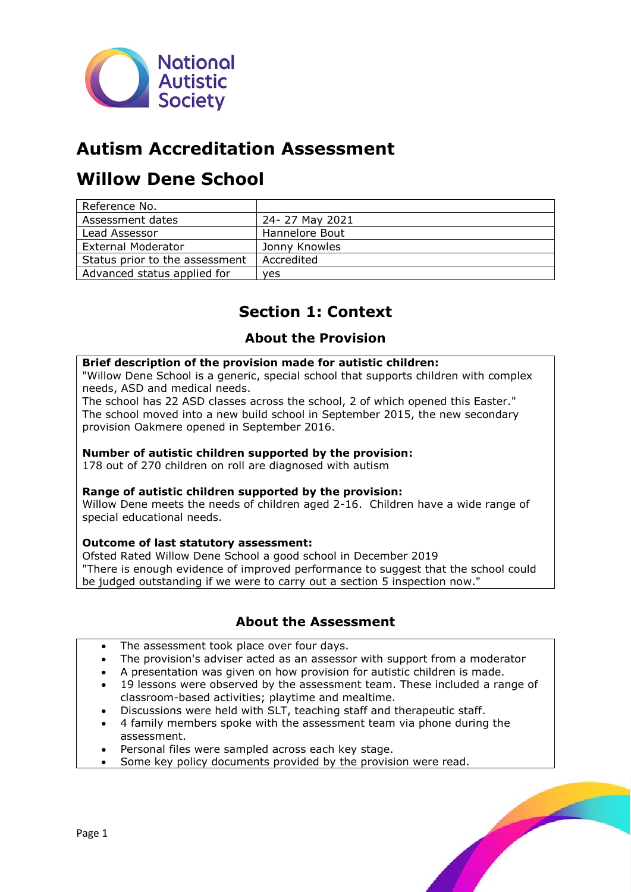

# **Autism Accreditation Assessment**

# **Willow Dene School**

| Reference No.                  |                |
|--------------------------------|----------------|
| Assessment dates               | 24-27 May 2021 |
| Lead Assessor                  | Hannelore Bout |
| External Moderator             | Jonny Knowles  |
| Status prior to the assessment | Accredited     |
| Advanced status applied for    | ves            |

# **Section 1: Context**

# **About the Provision**

#### **Brief description of the provision made for autistic children:**

"Willow Dene School is a generic, special school that supports children with complex needs, ASD and medical needs.

The school has 22 ASD classes across the school, 2 of which opened this Easter." The school moved into a new build school in September 2015, the new secondary provision Oakmere opened in September 2016.

## **Number of autistic children supported by the provision:**

178 out of 270 children on roll are diagnosed with autism

# **Range of autistic children supported by the provision:**

Willow Dene meets the needs of children aged 2-16. Children have a wide range of special educational needs.

#### **Outcome of last statutory assessment:**

Ofsted Rated Willow Dene School a good school in December 2019 "There is enough evidence of improved performance to suggest that the school could be judged outstanding if we were to carry out a section 5 inspection now."

# **About the Assessment**

- The assessment took place over four days.
- The provision's adviser acted as an assessor with support from a moderator
- A presentation was given on how provision for autistic children is made.
- 19 lessons were observed by the assessment team. These included a range of classroom-based activities; playtime and mealtime.
- Discussions were held with SLT, teaching staff and therapeutic staff.
- 4 family members spoke with the assessment team via phone during the assessment.
- Personal files were sampled across each key stage.
- Some key policy documents provided by the provision were read.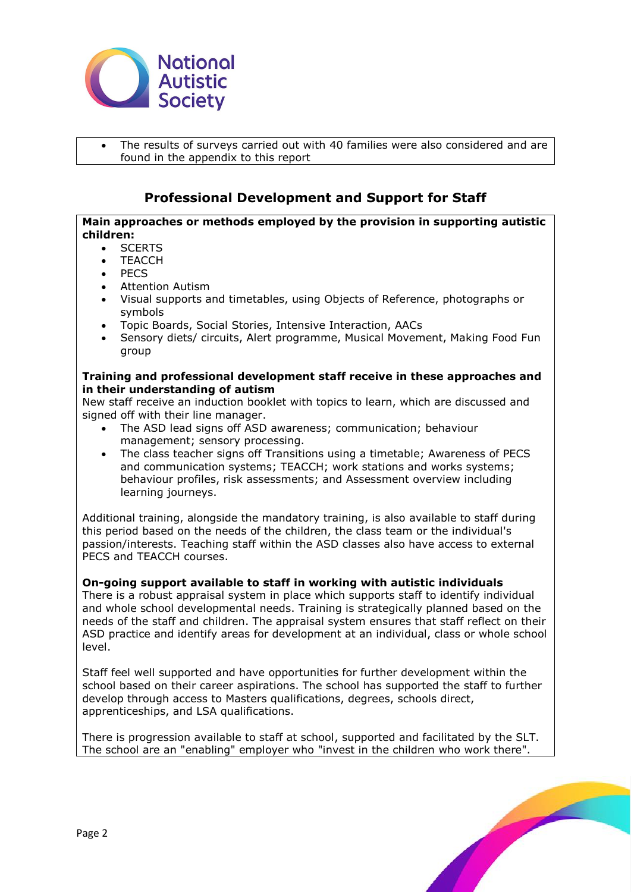

The results of surveys carried out with 40 families were also considered and are found in the appendix to this report

# **Professional Development and Support for Staff**

# **Main approaches or methods employed by the provision in supporting autistic children:**

- SCERTS
- **TEACCH**
- PECS
- Attention Autism
- Visual supports and timetables, using Objects of Reference, photographs or symbols
- Topic Boards, Social Stories, Intensive Interaction, AACs
- Sensory diets/ circuits, Alert programme, Musical Movement, Making Food Fun group

## **Training and professional development staff receive in these approaches and in their understanding of autism**

New staff receive an induction booklet with topics to learn, which are discussed and signed off with their line manager.

- The ASD lead signs off ASD awareness; communication; behaviour management; sensory processing.
- The class teacher signs off Transitions using a timetable; Awareness of PECS and communication systems; TEACCH; work stations and works systems; behaviour profiles, risk assessments; and Assessment overview including learning journeys.

Additional training, alongside the mandatory training, is also available to staff during this period based on the needs of the children, the class team or the individual's passion/interests. Teaching staff within the ASD classes also have access to external PECS and TEACCH courses.

# **On-going support available to staff in working with autistic individuals**

There is a robust appraisal system in place which supports staff to identify individual and whole school developmental needs. Training is strategically planned based on the needs of the staff and children. The appraisal system ensures that staff reflect on their ASD practice and identify areas for development at an individual, class or whole school level.

Staff feel well supported and have opportunities for further development within the school based on their career aspirations. The school has supported the staff to further develop through access to Masters qualifications, degrees, schools direct, apprenticeships, and LSA qualifications.

There is progression available to staff at school, supported and facilitated by the SLT. The school are an "enabling" employer who "invest in the children who work there".

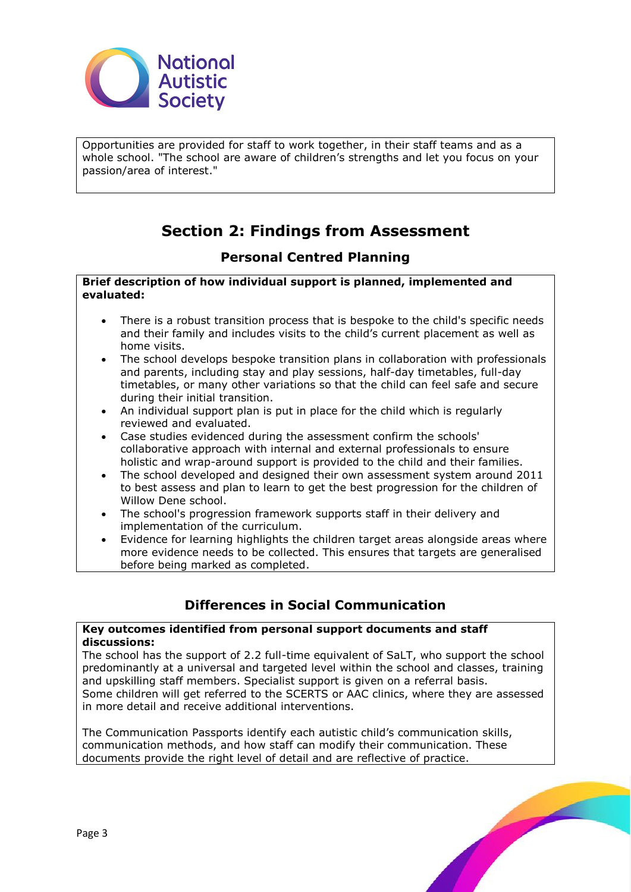

Opportunities are provided for staff to work together, in their staff teams and as a whole school. "The school are aware of children's strengths and let you focus on your passion/area of interest."

# **Section 2: Findings from Assessment**

# **Personal Centred Planning**

#### **Brief description of how individual support is planned, implemented and evaluated:**

- There is a robust transition process that is bespoke to the child's specific needs and their family and includes visits to the child's current placement as well as home visits.
- The school develops bespoke transition plans in collaboration with professionals and parents, including stay and play sessions, half-day timetables, full-day timetables, or many other variations so that the child can feel safe and secure during their initial transition.
- An individual support plan is put in place for the child which is regularly reviewed and evaluated.
- Case studies evidenced during the assessment confirm the schools' collaborative approach with internal and external professionals to ensure holistic and wrap-around support is provided to the child and their families.
- The school developed and designed their own assessment system around 2011 to best assess and plan to learn to get the best progression for the children of Willow Dene school.
- The school's progression framework supports staff in their delivery and implementation of the curriculum.
- Evidence for learning highlights the children target areas alongside areas where more evidence needs to be collected. This ensures that targets are generalised before being marked as completed.

# **Differences in Social Communication**

#### **Key outcomes identified from personal support documents and staff discussions:**

The school has the support of 2.2 full-time equivalent of SaLT, who support the school predominantly at a universal and targeted level within the school and classes, training and upskilling staff members. Specialist support is given on a referral basis. Some children will get referred to the SCERTS or AAC clinics, where they are assessed in more detail and receive additional interventions.

The Communication Passports identify each autistic child's communication skills, communication methods, and how staff can modify their communication. These documents provide the right level of detail and are reflective of practice.

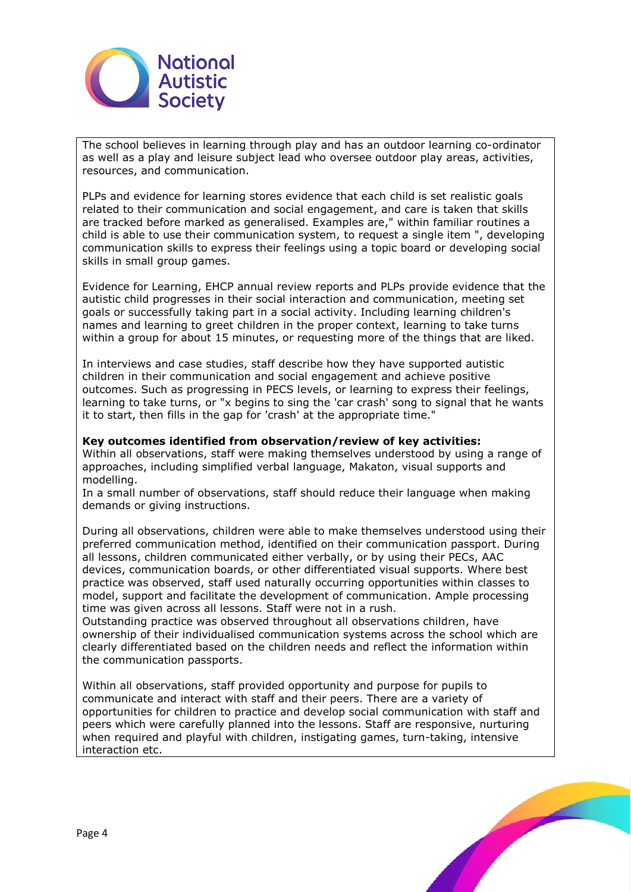

The school believes in learning through play and has an outdoor learning co-ordinator as well as a play and leisure subject lead who oversee outdoor play areas, activities, resources, and communication.

PLPs and evidence for learning stores evidence that each child is set realistic goals related to their communication and social engagement, and care is taken that skills are tracked before marked as generalised. Examples are," within familiar routines a child is able to use their communication system, to request a single item ", developing communication skills to express their feelings using a topic board or developing social skills in small group games.

Evidence for Learning, EHCP annual review reports and PLPs provide evidence that the autistic child progresses in their social interaction and communication, meeting set goals or successfully taking part in a social activity. Including learning children's names and learning to greet children in the proper context, learning to take turns within a group for about 15 minutes, or requesting more of the things that are liked.

In interviews and case studies, staff describe how they have supported autistic children in their communication and social engagement and achieve positive outcomes. Such as progressing in PECS levels, or learning to express their feelings, learning to take turns, or "x begins to sing the 'car crash' song to signal that he wants it to start, then fills in the gap for 'crash' at the appropriate time."

#### **Key outcomes identified from observation/review of key activities:**

Within all observations, staff were making themselves understood by using a range of approaches, including simplified verbal language, Makaton, visual supports and modelling.

In a small number of observations, staff should reduce their language when making demands or giving instructions.

During all observations, children were able to make themselves understood using their preferred communication method, identified on their communication passport. During all lessons, children communicated either verbally, or by using their PECs, AAC devices, communication boards, or other differentiated visual supports. Where best practice was observed, staff used naturally occurring opportunities within classes to model, support and facilitate the development of communication. Ample processing time was given across all lessons. Staff were not in a rush.

Outstanding practice was observed throughout all observations children, have ownership of their individualised communication systems across the school which are clearly differentiated based on the children needs and reflect the information within the communication passports.

Within all observations, staff provided opportunity and purpose for pupils to communicate and interact with staff and their peers. There are a variety of opportunities for children to practice and develop social communication with staff and peers which were carefully planned into the lessons. Staff are responsive, nurturing when required and playful with children, instigating games, turn-taking, intensive interaction etc.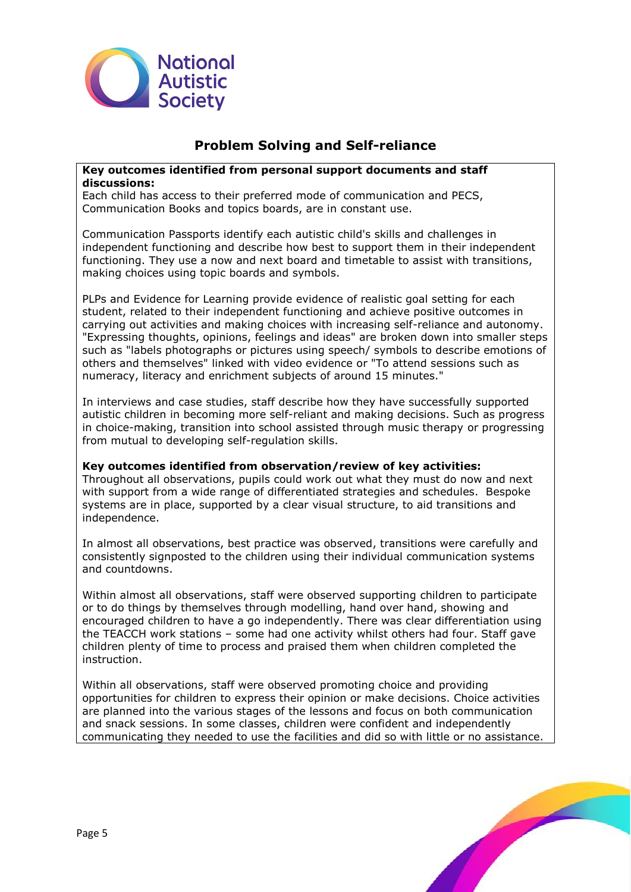

# **Problem Solving and Self-reliance**

## **Key outcomes identified from personal support documents and staff discussions:**

Each child has access to their preferred mode of communication and PECS, Communication Books and topics boards, are in constant use.

Communication Passports identify each autistic child's skills and challenges in independent functioning and describe how best to support them in their independent functioning. They use a now and next board and timetable to assist with transitions, making choices using topic boards and symbols.

PLPs and Evidence for Learning provide evidence of realistic goal setting for each student, related to their independent functioning and achieve positive outcomes in carrying out activities and making choices with increasing self-reliance and autonomy. "Expressing thoughts, opinions, feelings and ideas" are broken down into smaller steps such as "labels photographs or pictures using speech/ symbols to describe emotions of others and themselves" linked with video evidence or "To attend sessions such as numeracy, literacy and enrichment subjects of around 15 minutes."

In interviews and case studies, staff describe how they have successfully supported autistic children in becoming more self-reliant and making decisions. Such as progress in choice-making, transition into school assisted through music therapy or progressing from mutual to developing self-regulation skills.

#### **Key outcomes identified from observation/review of key activities:**

Throughout all observations, pupils could work out what they must do now and next with support from a wide range of differentiated strategies and schedules. Bespoke systems are in place, supported by a clear visual structure, to aid transitions and independence.

In almost all observations, best practice was observed, transitions were carefully and consistently signposted to the children using their individual communication systems and countdowns.

Within almost all observations, staff were observed supporting children to participate or to do things by themselves through modelling, hand over hand, showing and encouraged children to have a go independently. There was clear differentiation using the TEACCH work stations – some had one activity whilst others had four. Staff gave children plenty of time to process and praised them when children completed the instruction.

Within all observations, staff were observed promoting choice and providing opportunities for children to express their opinion or make decisions. Choice activities are planned into the various stages of the lessons and focus on both communication and snack sessions. In some classes, children were confident and independently communicating they needed to use the facilities and did so with little or no assistance.

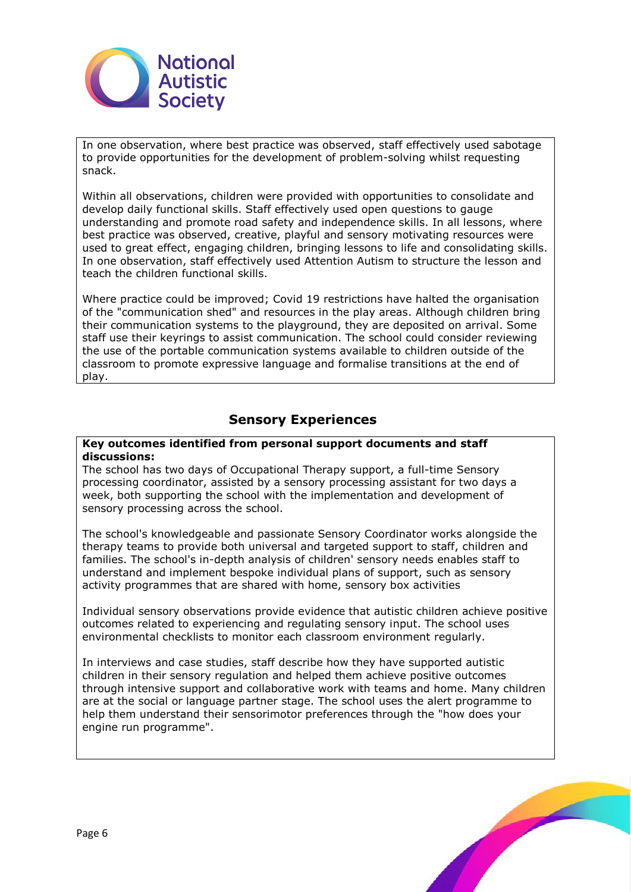

In one observation, where best practice was observed, staff effectively used sabotage to provide opportunities for the development of problem-solving whilst requesting snack.

Within all observations, children were provided with opportunities to consolidate and develop daily functional skills. Staff effectively used open questions to gauge understanding and promote road safety and independence skills. In all lessons, where best practice was observed, creative, playful and sensory motivating resources were used to great effect, engaging children, bringing lessons to life and consolidating skills. In one observation, staff effectively used Attention Autism to structure the lesson and teach the children functional skills.

Where practice could be improved; Covid 19 restrictions have halted the organisation of the "communication shed" and resources in the play areas. Although children bring their communication systems to the playground, they are deposited on arrival. Some staff use their keyrings to assist communication. The school could consider reviewing the use of the portable communication systems available to children outside of the classroom to promote expressive language and formalise transitions at the end of play.

# **Sensory Experiences**

#### **Key outcomes identified from personal support documents and staff discussions:**

The school has two days of Occupational Therapy support, a full-time Sensory processing coordinator, assisted by a sensory processing assistant for two days a week, both supporting the school with the implementation and development of sensory processing across the school.

The school's knowledgeable and passionate Sensory Coordinator works alongside the therapy teams to provide both universal and targeted support to staff, children and families. The school's in-depth analysis of children' sensory needs enables staff to understand and implement bespoke individual plans of support, such as sensory activity programmes that are shared with home, sensory box activities

Individual sensory observations provide evidence that autistic children achieve positive outcomes related to experiencing and regulating sensory input. The school uses environmental checklists to monitor each classroom environment regularly.

In interviews and case studies, staff describe how they have supported autistic children in their sensory regulation and helped them achieve positive outcomes through intensive support and collaborative work with teams and home. Many children are at the social or language partner stage. The school uses the alert programme to help them understand their sensorimotor preferences through the "how does your engine run programme".

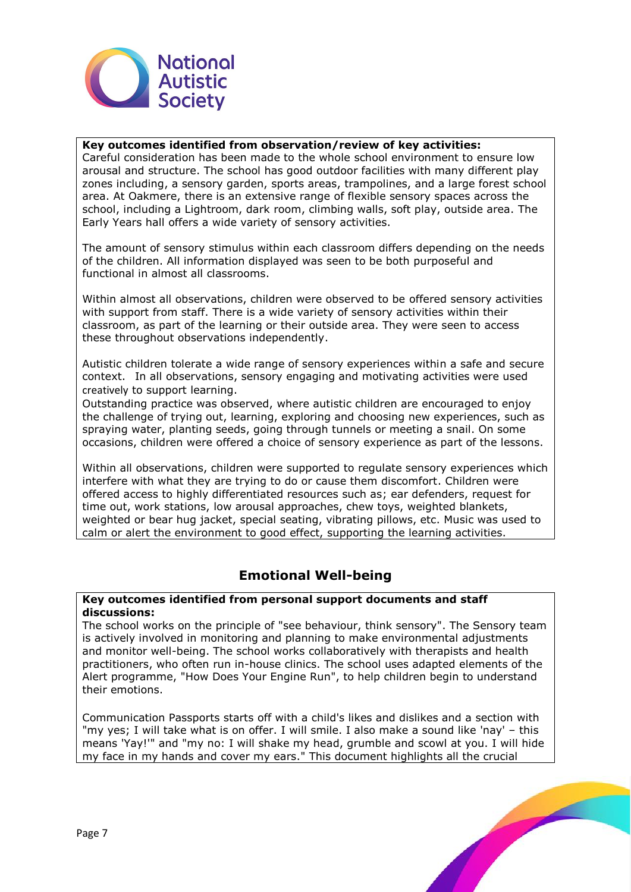

## **Key outcomes identified from observation/review of key activities:**

Careful consideration has been made to the whole school environment to ensure low arousal and structure. The school has good outdoor facilities with many different play zones including, a sensory garden, sports areas, trampolines, and a large forest school area. At Oakmere, there is an extensive range of flexible sensory spaces across the school, including a Lightroom, dark room, climbing walls, soft play, outside area. The Early Years hall offers a wide variety of sensory activities.

The amount of sensory stimulus within each classroom differs depending on the needs of the children. All information displayed was seen to be both purposeful and functional in almost all classrooms.

Within almost all observations, children were observed to be offered sensory activities with support from staff. There is a wide variety of sensory activities within their classroom, as part of the learning or their outside area. They were seen to access these throughout observations independently.

Autistic children tolerate a wide range of sensory experiences within a safe and secure context.  In all observations, sensory engaging and motivating activities were used creatively to support learning.

Outstanding practice was observed, where autistic children are encouraged to enjoy the challenge of trying out, learning, exploring and choosing new experiences, such as spraying water, planting seeds, going through tunnels or meeting a snail. On some occasions, children were offered a choice of sensory experience as part of the lessons.

Within all observations, children were supported to regulate sensory experiences which interfere with what they are trying to do or cause them discomfort. Children were offered access to highly differentiated resources such as; ear defenders, request for time out, work stations, low arousal approaches, chew toys, weighted blankets, weighted or bear hug jacket, special seating, vibrating pillows, etc. Music was used to calm or alert the environment to good effect, supporting the learning activities.

# **Emotional Well-being**

#### **Key outcomes identified from personal support documents and staff discussions:**

The school works on the principle of "see behaviour, think sensory". The Sensory team is actively involved in monitoring and planning to make environmental adjustments and monitor well-being. The school works collaboratively with therapists and health practitioners, who often run in-house clinics. The school uses adapted elements of the Alert programme, "How Does Your Engine Run", to help children begin to understand their emotions.

Communication Passports starts off with a child's likes and dislikes and a section with "my yes; I will take what is on offer. I will smile. I also make a sound like 'nay' – this means 'Yay!'" and "my no: I will shake my head, grumble and scowl at you. I will hide my face in my hands and cover my ears." This document highlights all the crucial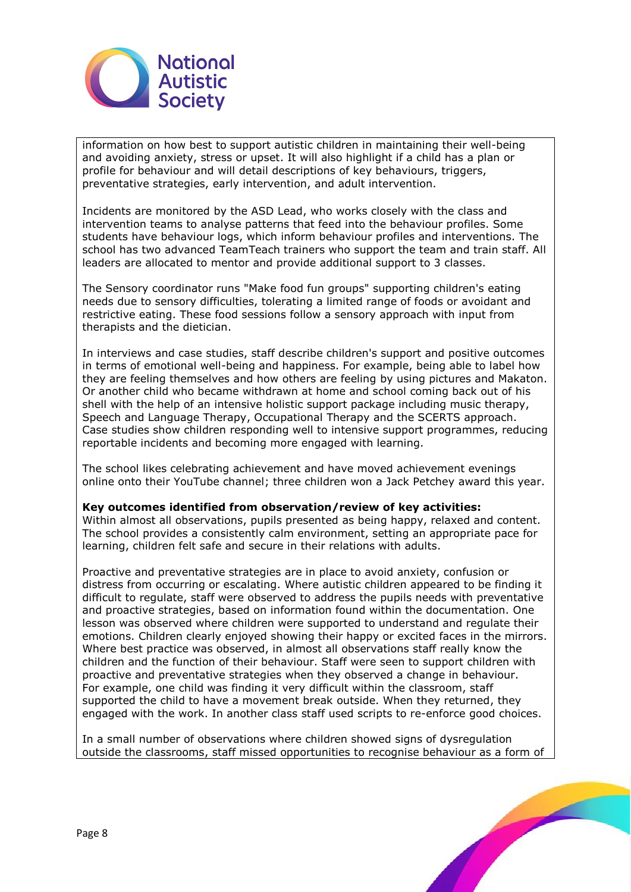

information on how best to support autistic children in maintaining their well-being and avoiding anxiety, stress or upset. It will also highlight if a child has a plan or profile for behaviour and will detail descriptions of key behaviours, triggers, preventative strategies, early intervention, and adult intervention.

Incidents are monitored by the ASD Lead, who works closely with the class and intervention teams to analyse patterns that feed into the behaviour profiles. Some students have behaviour logs, which inform behaviour profiles and interventions. The school has two advanced TeamTeach trainers who support the team and train staff. All leaders are allocated to mentor and provide additional support to 3 classes.

The Sensory coordinator runs "Make food fun groups" supporting children's eating needs due to sensory difficulties, tolerating a limited range of foods or avoidant and restrictive eating. These food sessions follow a sensory approach with input from therapists and the dietician.

In interviews and case studies, staff describe children's support and positive outcomes in terms of emotional well-being and happiness. For example, being able to label how they are feeling themselves and how others are feeling by using pictures and Makaton. Or another child who became withdrawn at home and school coming back out of his shell with the help of an intensive holistic support package including music therapy, Speech and Language Therapy, Occupational Therapy and the SCERTS approach. Case studies show children responding well to intensive support programmes, reducing reportable incidents and becoming more engaged with learning.

The school likes celebrating achievement and have moved achievement evenings online onto their YouTube channel; three children won a Jack Petchey award this year.

#### **Key outcomes identified from observation/review of key activities:**

Within almost all observations, pupils presented as being happy, relaxed and content. The school provides a consistently calm environment, setting an appropriate pace for learning, children felt safe and secure in their relations with adults.

Proactive and preventative strategies are in place to avoid anxiety, confusion or distress from occurring or escalating. Where autistic children appeared to be finding it difficult to regulate, staff were observed to address the pupils needs with preventative and proactive strategies, based on information found within the documentation. One lesson was observed where children were supported to understand and regulate their emotions. Children clearly enjoyed showing their happy or excited faces in the mirrors. Where best practice was observed, in almost all observations staff really know the children and the function of their behaviour. Staff were seen to support children with proactive and preventative strategies when they observed a change in behaviour. For example, one child was finding it very difficult within the classroom, staff supported the child to have a movement break outside. When they returned, they engaged with the work. In another class staff used scripts to re-enforce good choices.

In a small number of observations where children showed signs of dysregulation outside the classrooms, staff missed opportunities to recognise behaviour as a form of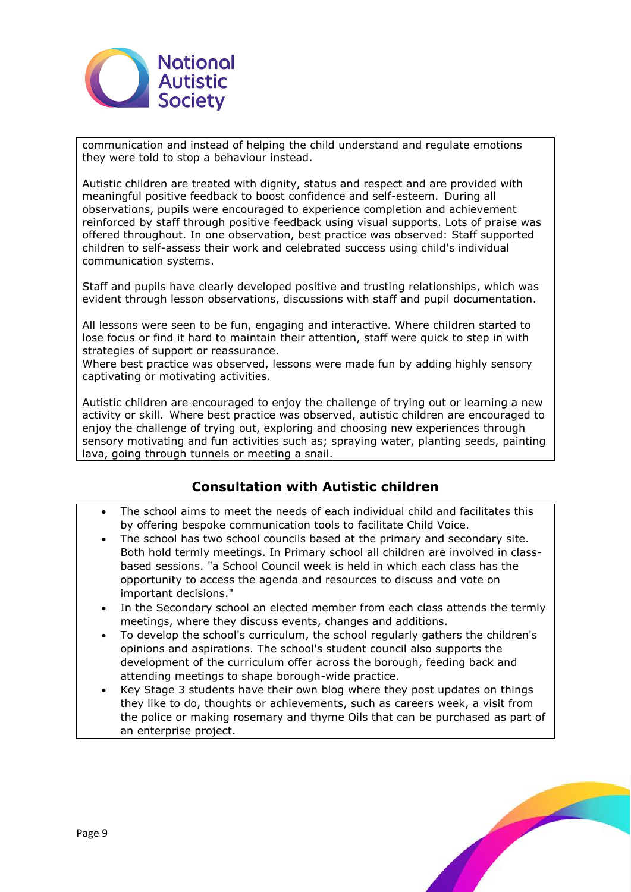

communication and instead of helping the child understand and regulate emotions they were told to stop a behaviour instead.

Autistic children are treated with dignity, status and respect and are provided with meaningful positive feedback to boost confidence and self-esteem.  During all observations, pupils were encouraged to experience completion and achievement reinforced by staff through positive feedback using visual supports. Lots of praise was offered throughout. In one observation, best practice was observed: Staff supported children to self-assess their work and celebrated success using child's individual communication systems.

Staff and pupils have clearly developed positive and trusting relationships, which was evident through lesson observations, discussions with staff and pupil documentation.

All lessons were seen to be fun, engaging and interactive. Where children started to lose focus or find it hard to maintain their attention, staff were quick to step in with strategies of support or reassurance.

Where best practice was observed, lessons were made fun by adding highly sensory captivating or motivating activities.

Autistic children are encouraged to enjoy the challenge of trying out or learning a new activity or skill.  Where best practice was observed, autistic children are encouraged to enjoy the challenge of trying out, exploring and choosing new experiences through sensory motivating and fun activities such as; spraying water, planting seeds, painting lava, going through tunnels or meeting a snail.

# **Consultation with Autistic children**

- The school aims to meet the needs of each individual child and facilitates this by offering bespoke communication tools to facilitate Child Voice.
- The school has two school councils based at the primary and secondary site. Both hold termly meetings. In Primary school all children are involved in classbased sessions. "a School Council week is held in which each class has the opportunity to access the agenda and resources to discuss and vote on important decisions."
- In the Secondary school an elected member from each class attends the termly meetings, where they discuss events, changes and additions.
- To develop the school's curriculum, the school regularly gathers the children's opinions and aspirations. The school's student council also supports the development of the curriculum offer across the borough, feeding back and attending meetings to shape borough-wide practice.
- Key Stage 3 students have their own blog where they post updates on things they like to do, thoughts or achievements, such as careers week, a visit from the police or making rosemary and thyme Oils that can be purchased as part of an enterprise project.

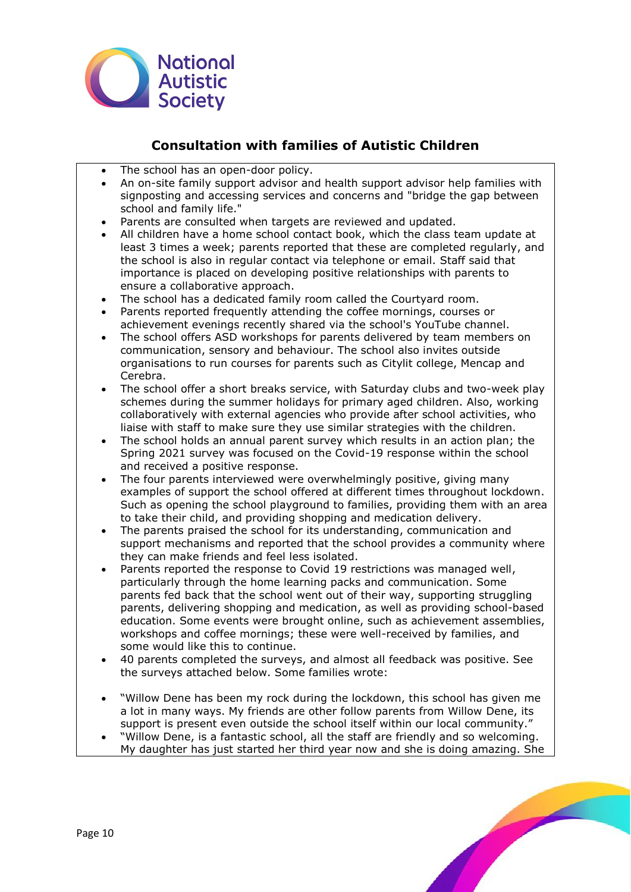

# **Consultation with families of Autistic Children**

- The school has an open-door policy.
- An on-site family support advisor and health support advisor help families with signposting and accessing services and concerns and "bridge the gap between school and family life."
- Parents are consulted when targets are reviewed and updated.
- All children have a home school contact book, which the class team update at least 3 times a week; parents reported that these are completed regularly, and the school is also in regular contact via telephone or email. Staff said that importance is placed on developing positive relationships with parents to ensure a collaborative approach.
- The school has a dedicated family room called the Courtyard room.
- Parents reported frequently attending the coffee mornings, courses or achievement evenings recently shared via the school's YouTube channel.
- The school offers ASD workshops for parents delivered by team members on communication, sensory and behaviour. The school also invites outside organisations to run courses for parents such as Citylit college, Mencap and Cerebra.
- The school offer a short breaks service, with Saturday clubs and two-week play schemes during the summer holidays for primary aged children. Also, working collaboratively with external agencies who provide after school activities, who liaise with staff to make sure they use similar strategies with the children.
- The school holds an annual parent survey which results in an action plan; the Spring 2021 survey was focused on the Covid-19 response within the school and received a positive response.
- The four parents interviewed were overwhelmingly positive, giving many examples of support the school offered at different times throughout lockdown. Such as opening the school playground to families, providing them with an area to take their child, and providing shopping and medication delivery.
- The parents praised the school for its understanding, communication and support mechanisms and reported that the school provides a community where they can make friends and feel less isolated.
- Parents reported the response to Covid 19 restrictions was managed well, particularly through the home learning packs and communication. Some parents fed back that the school went out of their way, supporting struggling parents, delivering shopping and medication, as well as providing school-based education. Some events were brought online, such as achievement assemblies, workshops and coffee mornings; these were well-received by families, and some would like this to continue.
- 40 parents completed the surveys, and almost all feedback was positive. See the surveys attached below. Some families wrote:
- "Willow Dene has been my rock during the lockdown, this school has given me a lot in many ways. My friends are other follow parents from Willow Dene, its support is present even outside the school itself within our local community."
- "Willow Dene, is a fantastic school, all the staff are friendly and so welcoming. My daughter has just started her third year now and she is doing amazing. She

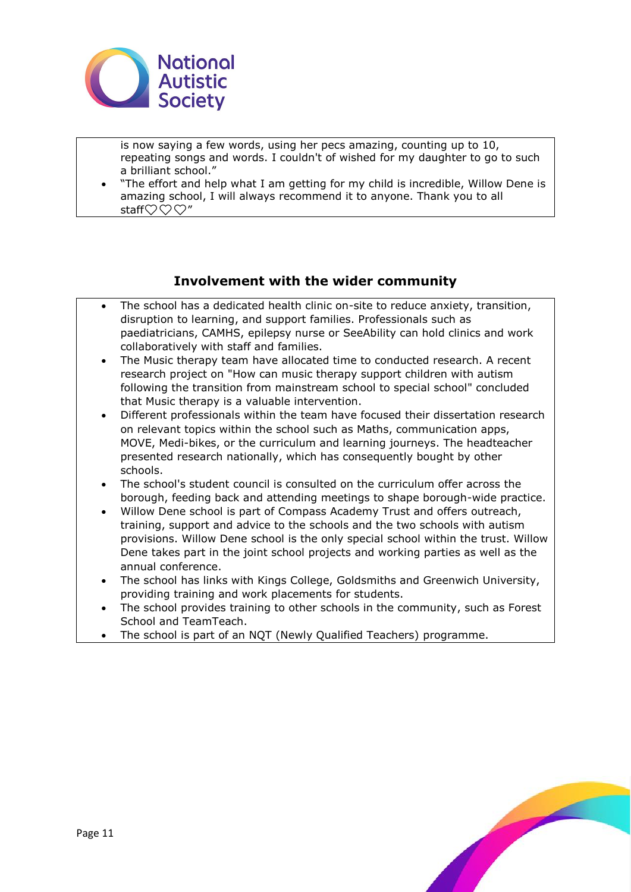

is now saying a few words, using her pecs amazing, counting up to 10, repeating songs and words. I couldn't of wished for my daughter to go to such a brilliant school."

• "The effort and help what I am getting for my child is incredible, Willow Dene is amazing school, I will always recommend it to anyone. Thank you to all staff $\heartsuit$  $\heartsuit$  $\heartsuit$ "

# **Involvement with the wider community**

- The school has a dedicated health clinic on-site to reduce anxiety, transition, disruption to learning, and support families. Professionals such as paediatricians, CAMHS, epilepsy nurse or SeeAbility can hold clinics and work collaboratively with staff and families.
- The Music therapy team have allocated time to conducted research. A recent research project on "How can music therapy support children with autism following the transition from mainstream school to special school" concluded that Music therapy is a valuable intervention.
- Different professionals within the team have focused their dissertation research on relevant topics within the school such as Maths, communication apps, MOVE, Medi-bikes, or the curriculum and learning journeys. The headteacher presented research nationally, which has consequently bought by other schools.
- The school's student council is consulted on the curriculum offer across the borough, feeding back and attending meetings to shape borough-wide practice.
- Willow Dene school is part of Compass Academy Trust and offers outreach, training, support and advice to the schools and the two schools with autism provisions. Willow Dene school is the only special school within the trust. Willow Dene takes part in the joint school projects and working parties as well as the annual conference.
- The school has links with Kings College, Goldsmiths and Greenwich University, providing training and work placements for students.
- The school provides training to other schools in the community, such as Forest School and TeamTeach.
- The school is part of an NQT (Newly Qualified Teachers) programme.

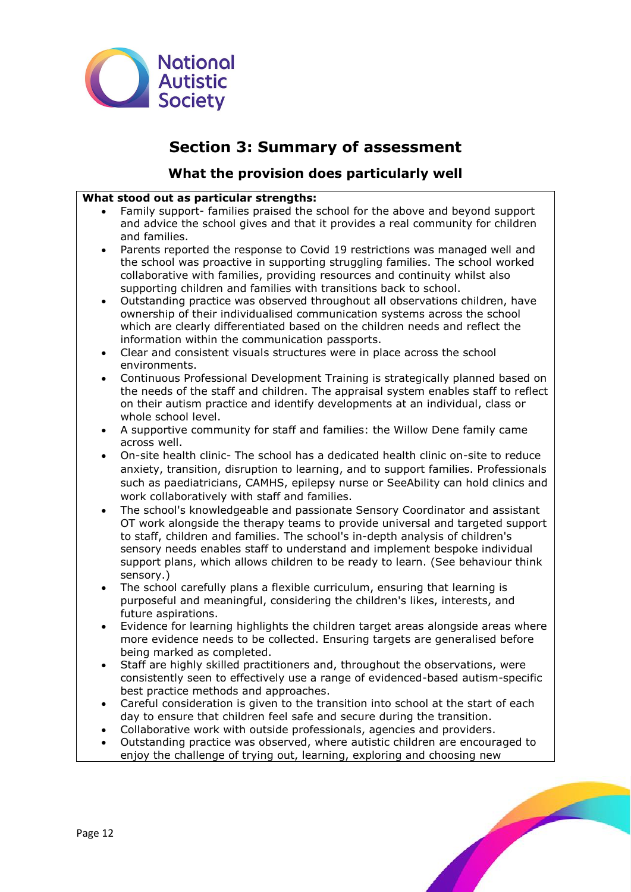

# **Section 3: Summary of assessment**

# **What the provision does particularly well**

# **What stood out as particular strengths:**

- Family support- families praised the school for the above and beyond support and advice the school gives and that it provides a real community for children and families.
- Parents reported the response to Covid 19 restrictions was managed well and the school was proactive in supporting struggling families. The school worked collaborative with families, providing resources and continuity whilst also supporting children and families with transitions back to school.
- Outstanding practice was observed throughout all observations children, have ownership of their individualised communication systems across the school which are clearly differentiated based on the children needs and reflect the information within the communication passports.
- Clear and consistent visuals structures were in place across the school environments.
- Continuous Professional Development Training is strategically planned based on the needs of the staff and children. The appraisal system enables staff to reflect on their autism practice and identify developments at an individual, class or whole school level.
- A supportive community for staff and families: the Willow Dene family came across well.
- On-site health clinic- The school has a dedicated health clinic on-site to reduce anxiety, transition, disruption to learning, and to support families. Professionals such as paediatricians, CAMHS, epilepsy nurse or SeeAbility can hold clinics and work collaboratively with staff and families.
- The school's knowledgeable and passionate Sensory Coordinator and assistant OT work alongside the therapy teams to provide universal and targeted support to staff, children and families. The school's in-depth analysis of children's sensory needs enables staff to understand and implement bespoke individual support plans, which allows children to be ready to learn. (See behaviour think sensory.)
- The school carefully plans a flexible curriculum, ensuring that learning is purposeful and meaningful, considering the children's likes, interests, and future aspirations.
- Evidence for learning highlights the children target areas alongside areas where more evidence needs to be collected. Ensuring targets are generalised before being marked as completed.
- Staff are highly skilled practitioners and, throughout the observations, were consistently seen to effectively use a range of evidenced-based autism-specific best practice methods and approaches.
- Careful consideration is given to the transition into school at the start of each day to ensure that children feel safe and secure during the transition.
- Collaborative work with outside professionals, agencies and providers.
- Outstanding practice was observed, where autistic children are encouraged to enjoy the challenge of trying out, learning, exploring and choosing new

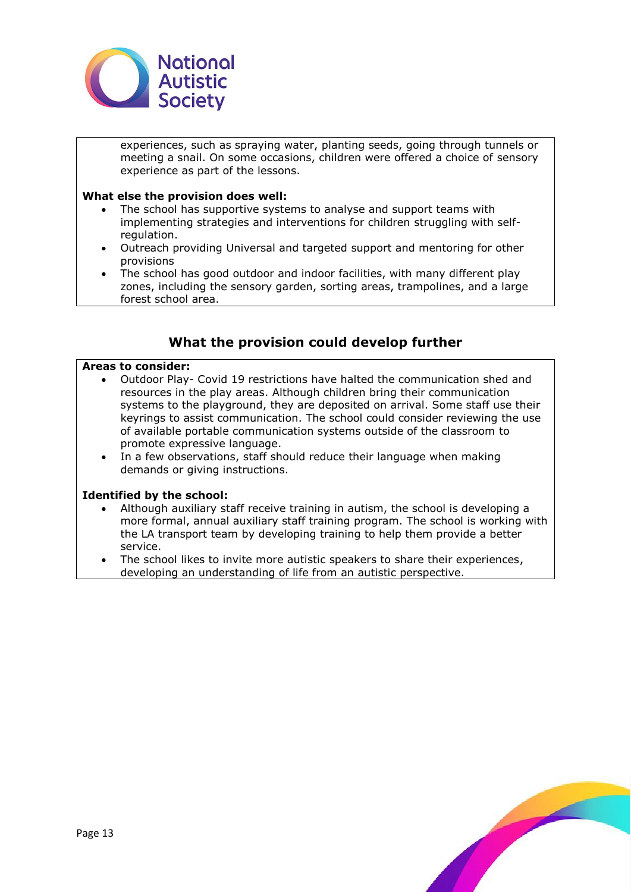

experiences, such as spraying water, planting seeds, going through tunnels or meeting a snail. On some occasions, children were offered a choice of sensory experience as part of the lessons.

## **What else the provision does well:**

- The school has supportive systems to analyse and support teams with implementing strategies and interventions for children struggling with selfregulation.
- Outreach providing Universal and targeted support and mentoring for other provisions
- The school has good outdoor and indoor facilities, with many different play zones, including the sensory garden, sorting areas, trampolines, and a large forest school area.

# **What the provision could develop further**

#### **Areas to consider:**

- Outdoor Play- Covid 19 restrictions have halted the communication shed and resources in the play areas. Although children bring their communication systems to the playground, they are deposited on arrival. Some staff use their keyrings to assist communication. The school could consider reviewing the use of available portable communication systems outside of the classroom to promote expressive language.
- In a few observations, staff should reduce their language when making demands or giving instructions.

#### **Identified by the school:**

- Although auxiliary staff receive training in autism, the school is developing a more formal, annual auxiliary staff training program. The school is working with the LA transport team by developing training to help them provide a better service.
- The school likes to invite more autistic speakers to share their experiences, developing an understanding of life from an autistic perspective.

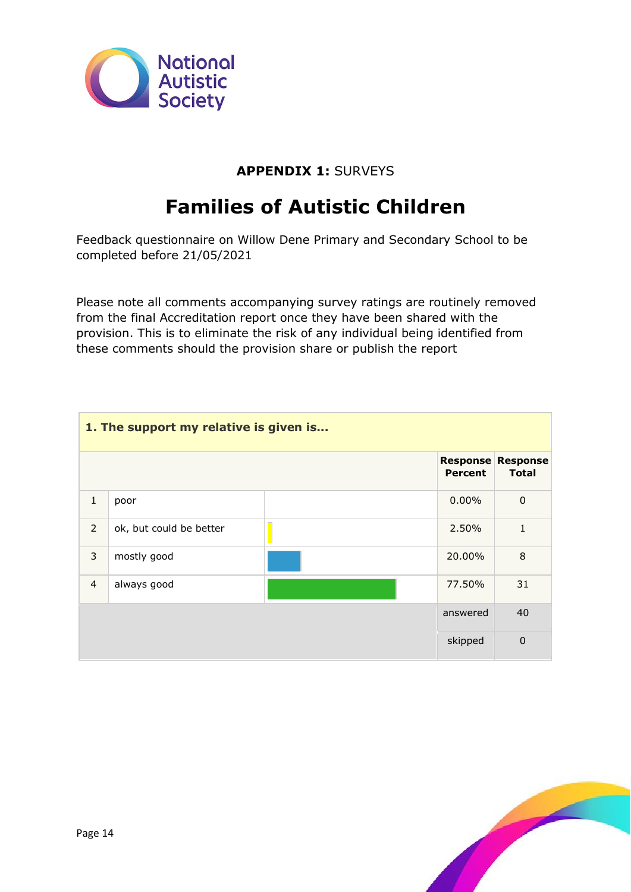

# **APPENDIX 1:** SURVEYS

# **Families of Autistic Children**

Feedback questionnaire on Willow Dene Primary and Secondary School to be completed before 21/05/2021

Please note all comments accompanying survey ratings are routinely removed from the final Accreditation report once they have been shared with the provision. This is to eliminate the risk of any individual being identified from these comments should the provision share or publish the report

| 1. The support my relative is given is |                         |  |                |                                          |
|----------------------------------------|-------------------------|--|----------------|------------------------------------------|
|                                        |                         |  | <b>Percent</b> | <b>Response Response</b><br><b>Total</b> |
| $\mathbf{1}$                           | poor                    |  | 0.00%          | $\mathbf 0$                              |
| $\overline{2}$                         | ok, but could be better |  | 2.50%          | $\mathbf{1}$                             |
| 3                                      | mostly good             |  | 20.00%         | 8                                        |
| $\overline{4}$                         | always good             |  | 77.50%         | 31                                       |
|                                        |                         |  | answered       | 40                                       |
|                                        |                         |  | skipped        | $\mathbf 0$                              |

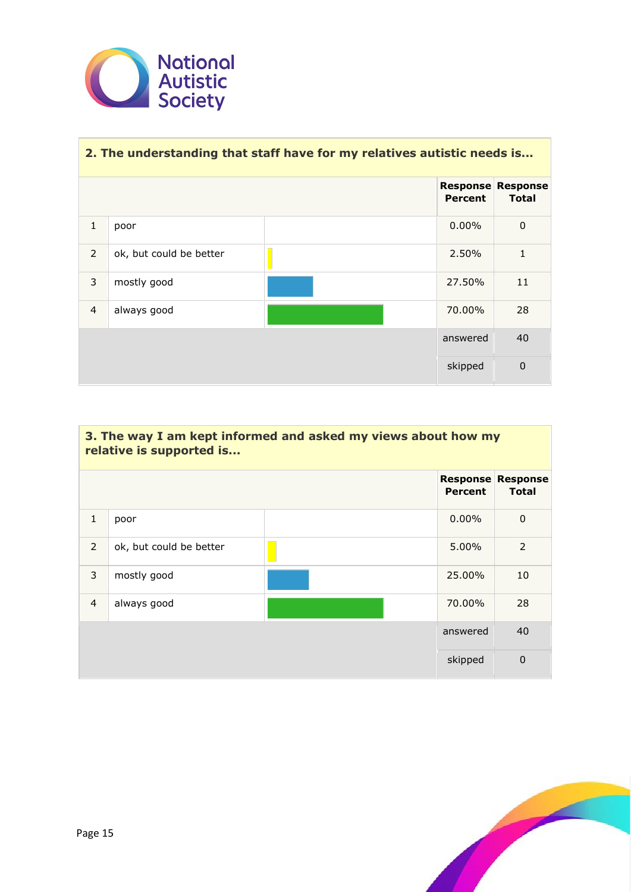

| 2. The understanding that staff have for my relatives autistic needs is |                         |  |                |                                          |
|-------------------------------------------------------------------------|-------------------------|--|----------------|------------------------------------------|
|                                                                         |                         |  | <b>Percent</b> | <b>Response Response</b><br><b>Total</b> |
| $\mathbf{1}$                                                            | poor                    |  | $0.00\%$       | $\mathbf 0$                              |
| 2                                                                       | ok, but could be better |  | 2.50%          |                                          |
| 3                                                                       | mostly good             |  | 27.50%         | 11                                       |
| $\overline{4}$                                                          | always good             |  | 70.00%         | 28                                       |
|                                                                         |                         |  | answered       | 40                                       |
|                                                                         |                         |  | skipped        | $\overline{0}$                           |

| 3. The way I am kept informed and asked my views about how my<br>relative is supported is |                         |  |                |                                          |
|-------------------------------------------------------------------------------------------|-------------------------|--|----------------|------------------------------------------|
|                                                                                           |                         |  | <b>Percent</b> | <b>Response Response</b><br><b>Total</b> |
| $\mathbf{1}$                                                                              | poor                    |  | $0.00\%$       | $\mathbf{0}$                             |
| $\overline{2}$                                                                            | ok, but could be better |  | 5.00%          | $\overline{2}$                           |
| 3                                                                                         | mostly good             |  | 25.00%         | 10                                       |
| $\overline{4}$                                                                            | always good             |  | 70.00%         | 28                                       |
|                                                                                           |                         |  | answered       | 40                                       |
|                                                                                           |                         |  | skipped        | $\mathbf 0$                              |

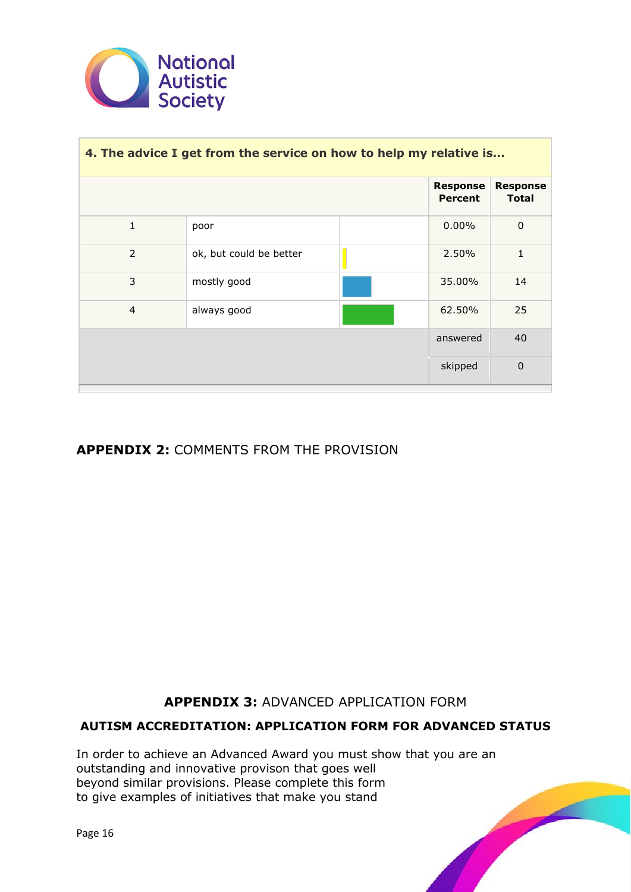

| 4. The advice I get from the service on how to help my relative is |                         |  |                                   |                                 |
|--------------------------------------------------------------------|-------------------------|--|-----------------------------------|---------------------------------|
|                                                                    |                         |  | <b>Response</b><br><b>Percent</b> | <b>Response</b><br><b>Total</b> |
| $\mathbf{1}$                                                       | poor                    |  | $0.00\%$                          | $\mathbf 0$                     |
| 2                                                                  | ok, but could be better |  | 2.50%                             | $\mathbf{1}$                    |
| 3                                                                  | mostly good             |  | 35.00%                            | 14                              |
| $\overline{4}$                                                     | always good             |  | 62.50%                            | 25                              |
|                                                                    |                         |  | answered                          | 40                              |
|                                                                    |                         |  | skipped                           | $\mathbf 0$                     |

# **APPENDIX 2:** COMMENTS FROM THE PROVISION

**APPENDIX 3:** ADVANCED APPLICATION FORM

# **AUTISM ACCREDITATION: APPLICATION FORM FOR ADVANCED STATUS**

In order to achieve an Advanced Award you must show that you are an outstanding and innovative provison that goes well beyond similar provisions. Please complete this form to give examples of initiatives that make you stand

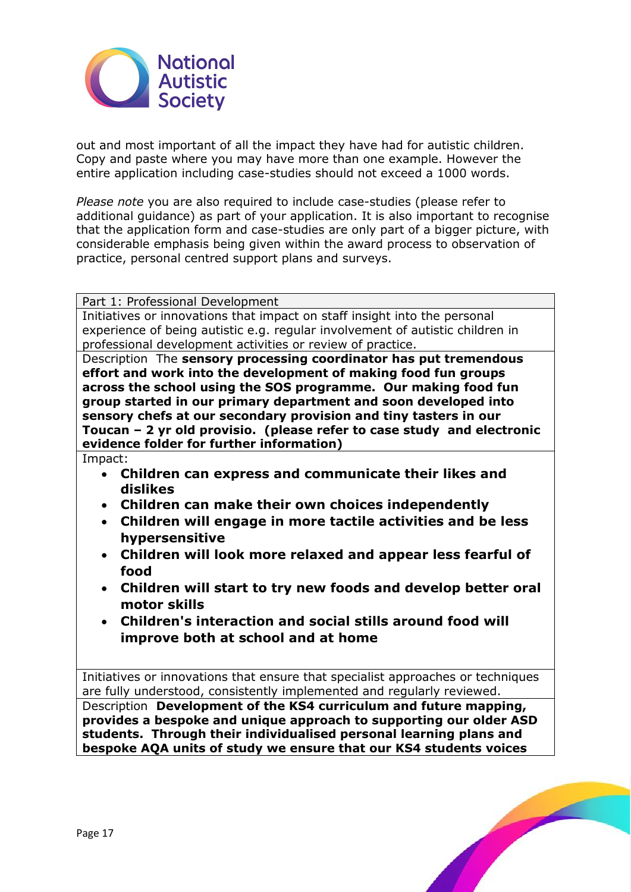

out and most important of all the impact they have had for autistic children. Copy and paste where you may have more than one example. However the entire application including case-studies should not exceed a 1000 words.

*Please note* you are also required to include case-studies (please refer to additional guidance) as part of your application. It is also important to recognise that the application form and case-studies are only part of a bigger picture, with considerable emphasis being given within the award process to observation of practice, personal centred support plans and surveys.

Part 1: Professional Development

Initiatives or innovations that impact on staff insight into the personal experience of being autistic e.g. regular involvement of autistic children in professional development activities or review of practice.

Description The **sensory processing coordinator has put tremendous effort and work into the development of making food fun groups across the school using the SOS programme. Our making food fun group started in our primary department and soon developed into sensory chefs at our secondary provision and tiny tasters in our Toucan – 2 yr old provisio. (please refer to case study and electronic evidence folder for further information)**

Impact:

- **Children can express and communicate their likes and dislikes**
- **Children can make their own choices independently**
- **Children will engage in more tactile activities and be less hypersensitive**
- **Children will look more relaxed and appear less fearful of food**
- **Children will start to try new foods and develop better oral motor skills**
- **Children's interaction and social stills around food will improve both at school and at home**

Initiatives or innovations that ensure that specialist approaches or techniques are fully understood, consistently implemented and regularly reviewed.

Description **Development of the KS4 curriculum and future mapping, provides a bespoke and unique approach to supporting our older ASD students. Through their individualised personal learning plans and bespoke AQA units of study we ensure that our KS4 students voices** 

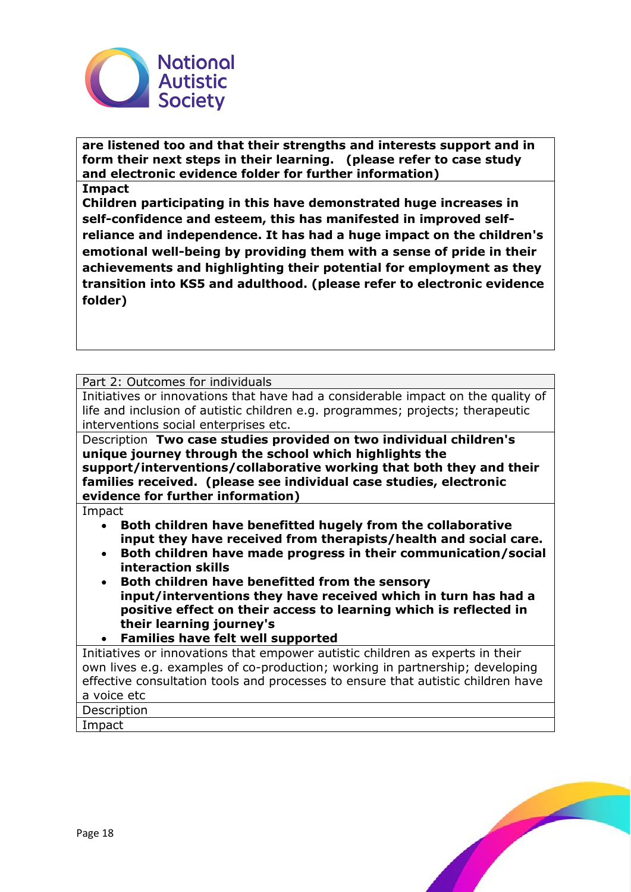

**are listened too and that their strengths and interests support and in form their next steps in their learning. (please refer to case study and electronic evidence folder for further information)**

#### **Impact**

**Children participating in this have demonstrated huge increases in self-confidence and esteem, this has manifested in improved selfreliance and independence. It has had a huge impact on the children's emotional well-being by providing them with a sense of pride in their achievements and highlighting their potential for employment as they transition into KS5 and adulthood. (please refer to electronic evidence folder)**

Part 2: Outcomes for individuals

Initiatives or innovations that have had a considerable impact on the quality of life and inclusion of autistic children e.g. programmes; projects; therapeutic interventions social enterprises etc.

Description **Two case studies provided on two individual children's unique journey through the school which highlights the support/interventions/collaborative working that both they and their families received. (please see individual case studies, electronic evidence for further information)**

Impact

- **Both children have benefitted hugely from the collaborative input they have received from therapists/health and social care.**
- **Both children have made progress in their communication/social interaction skills**
- **Both children have benefitted from the sensory input/interventions they have received which in turn has had a positive effect on their access to learning which is reflected in their learning journey's**
- **Families have felt well supported**

Initiatives or innovations that empower autistic children as experts in their own lives e.g. examples of co-production; working in partnership; developing effective consultation tools and processes to ensure that autistic children have a voice etc

Description



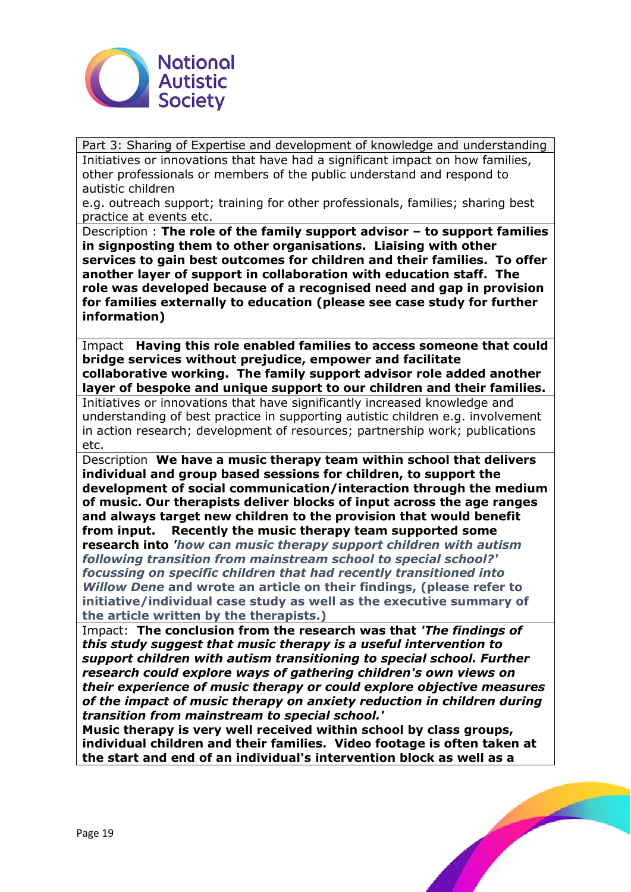

Part 3: Sharing of Expertise and development of knowledge and understanding Initiatives or innovations that have had a significant impact on how families, other professionals or members of the public understand and respond to autistic children

e.g. outreach support; training for other professionals, families; sharing best practice at events etc.

Description : **The role of the family support advisor – to support families in signposting them to other organisations. Liaising with other services to gain best outcomes for children and their families. To offer another layer of support in collaboration with education staff. The role was developed because of a recognised need and gap in provision for families externally to education (please see case study for further information)**

Impact **Having this role enabled families to access someone that could bridge services without prejudice, empower and facilitate collaborative working. The family support advisor role added another layer of bespoke and unique support to our children and their families.**  Initiatives or innovations that have significantly increased knowledge and

understanding of best practice in supporting autistic children e.g. involvement in action research; development of resources; partnership work; publications etc.

Description **We have a music therapy team within school that delivers individual and group based sessions for children, to support the development of social communication/interaction through the medium of music. Our therapists deliver blocks of input across the age ranges and always target new children to the provision that would benefit from input. Recently the music therapy team supported some research into** *'how can music therapy support children with autism following transition from mainstream school to special school?' focussing on specific children that had recently transitioned into* 

*Willow Dene* **and wrote an article on their findings, (please refer to initiative/individual case study as well as the executive summary of the article written by the therapists.)**

Impact: **The conclusion from the research was that** *'The findings of this study suggest that music therapy is a useful intervention to support children with autism transitioning to special school. Further research could explore ways of gathering children's own views on their experience of music therapy or could explore objective measures of the impact of music therapy on anxiety reduction in children during transition from mainstream to special school.'*

**Music therapy is very well received within school by class groups, individual children and their families. Video footage is often taken at the start and end of an individual's intervention block as well as a** 

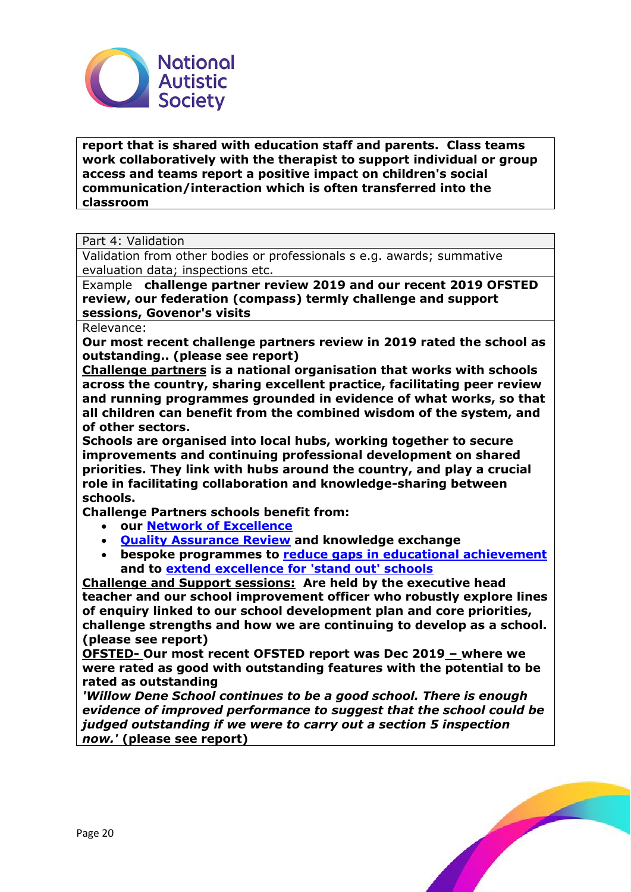

**report that is shared with education staff and parents. Class teams work collaboratively with the therapist to support individual or group access and teams report a positive impact on children's social communication/interaction which is often transferred into the classroom** 

Part 4: Validation

Validation from other bodies or professionals s e.g. awards; summative evaluation data; inspections etc.

Example **challenge partner review 2019 and our recent 2019 OFSTED review, our federation (compass) termly challenge and support sessions, Govenor's visits**

Relevance:

**Our most recent challenge partners review in 2019 rated the school as outstanding.. (please see report)**

**Challenge partners is a national organisation that works with schools across the country, sharing excellent practice, facilitating peer review and running programmes grounded in evidence of what works, so that all children can benefit from the combined wisdom of the system, and of other sectors.**

**Schools are organised into local hubs, working together to secure improvements and continuing professional development on shared priorities. They link with hubs around the country, and play a crucial role in facilitating collaboration and knowledge-sharing between schools.**

**Challenge Partners schools benefit from:**

- **our [Network of Excellence](https://www.challengepartners.org/network-of-excellence)**
- **[Quality Assurance Review](https://www.challengepartners.org/qa-review) and knowledge exchange**
- **bespoke programmes to [reduce gaps in educational achievement](https://www.challengepartners.org/excellence-everyone) and to [extend excellence for 'stand out' schools](https://www.challengepartners.org/growing-top)**

**Challenge and Support sessions: Are held by the executive head teacher and our school improvement officer who robustly explore lines of enquiry linked to our school development plan and core priorities, challenge strengths and how we are continuing to develop as a school. (please see report)**

**OFSTED- Our most recent OFSTED report was Dec 2019 – where we were rated as good with outstanding features with the potential to be rated as outstanding**

*'Willow Dene School continues to be a good school. There is enough evidence of improved performance to suggest that the school could be judged outstanding if we were to carry out a section 5 inspection now.'* **(please see report)**

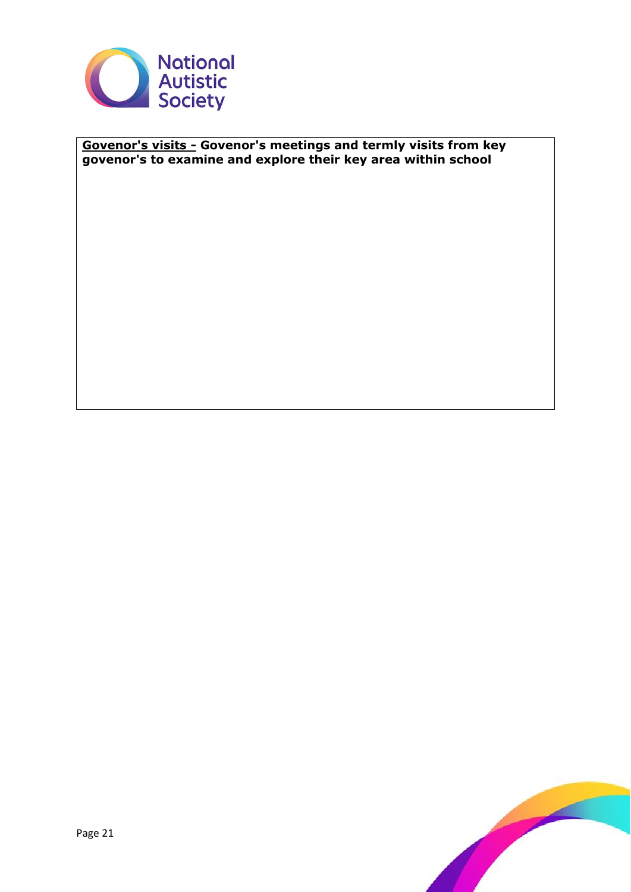

# **Govenor's visits - Govenor's meetings and termly visits from key govenor's to examine and explore their key area within school**

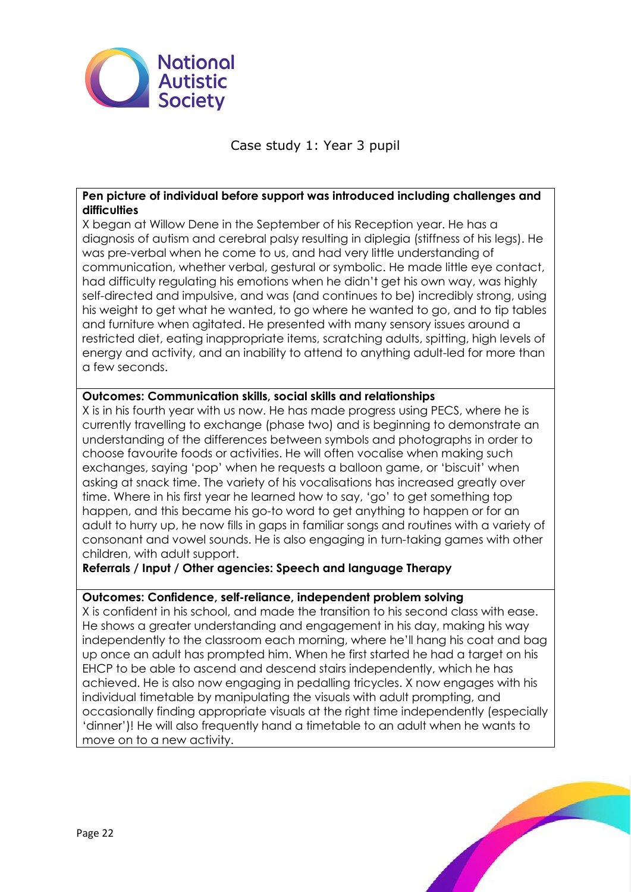

Case study 1: Year 3 pupil

# **Pen picture of individual before support was introduced including challenges and difficulties**

X began at Willow Dene in the September of his Reception year. He has a diagnosis of autism and cerebral palsy resulting in diplegia (stiffness of his legs). He was pre-verbal when he come to us, and had very little understanding of communication, whether verbal, gestural or symbolic. He made little eye contact, had difficulty regulating his emotions when he didn't get his own way, was highly self-directed and impulsive, and was (and continues to be) incredibly strong, using his weight to get what he wanted, to go where he wanted to go, and to tip tables and furniture when agitated. He presented with many sensory issues around a restricted diet, eating inappropriate items, scratching adults, spitting, high levels of energy and activity, and an inability to attend to anything adult-led for more than a few seconds.

# **Outcomes: Communication skills, social skills and relationships**

X is in his fourth year with us now. He has made progress using PECS, where he is currently travelling to exchange (phase two) and is beginning to demonstrate an understanding of the differences between symbols and photographs in order to choose favourite foods or activities. He will often vocalise when making such exchanges, saying 'pop' when he requests a balloon game, or 'biscuit' when asking at snack time. The variety of his vocalisations has increased greatly over time. Where in his first year he learned how to say, 'go' to get something top happen, and this became his go-to word to get anything to happen or for an adult to hurry up, he now fills in gaps in familiar songs and routines with a variety of consonant and vowel sounds. He is also engaging in turn-taking games with other children, with adult support.

# **Referrals / Input / Other agencies: Speech and language Therapy**

# **Outcomes: Confidence, self-reliance, independent problem solving**

X is confident in his school, and made the transition to his second class with ease. He shows a greater understanding and engagement in his day, making his way independently to the classroom each morning, where he'll hang his coat and bag up once an adult has prompted him. When he first started he had a target on his EHCP to be able to ascend and descend stairs independently, which he has achieved. He is also now engaging in pedalling tricycles. X now engages with his individual timetable by manipulating the visuals with adult prompting, and occasionally finding appropriate visuals at the right time independently (especially 'dinner')! He will also frequently hand a timetable to an adult when he wants to move on to a new activity.

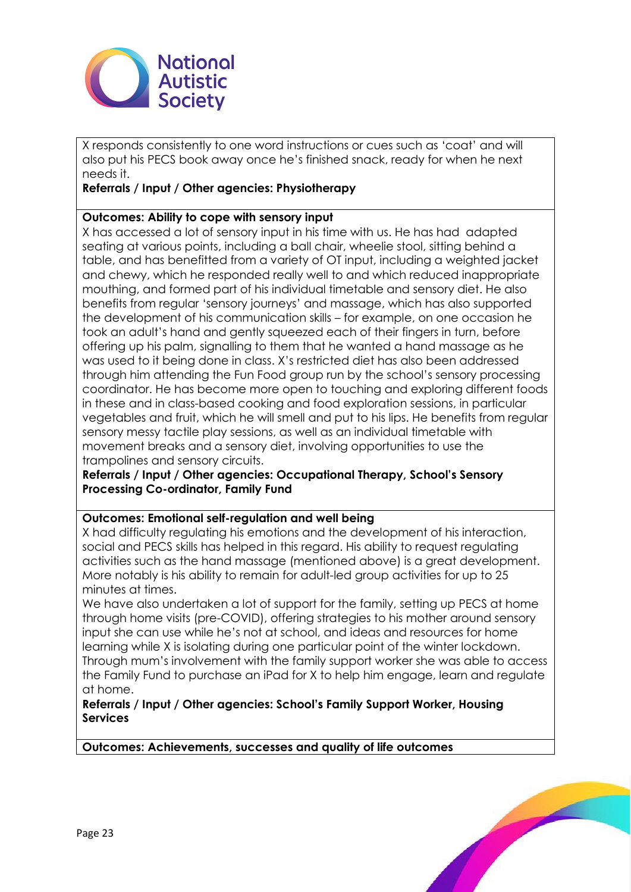

X responds consistently to one word instructions or cues such as 'coat' and will also put his PECS book away once he's finished snack, ready for when he next needs it.

# **Referrals / Input / Other agencies: Physiotherapy**

# **Outcomes: Ability to cope with sensory input**

X has accessed a lot of sensory input in his time with us. He has had adapted seating at various points, including a ball chair, wheelie stool, sitting behind a table, and has benefitted from a variety of OT input, including a weighted jacket and chewy, which he responded really well to and which reduced inappropriate mouthing, and formed part of his individual timetable and sensory diet. He also benefits from regular 'sensory journeys' and massage, which has also supported the development of his communication skills – for example, on one occasion he took an adult's hand and gently squeezed each of their fingers in turn, before offering up his palm, signalling to them that he wanted a hand massage as he was used to it being done in class. X's restricted diet has also been addressed through him attending the Fun Food group run by the school's sensory processing coordinator. He has become more open to touching and exploring different foods in these and in class-based cooking and food exploration sessions, in particular vegetables and fruit, which he will smell and put to his lips. He benefits from regular sensory messy tactile play sessions, as well as an individual timetable with movement breaks and a sensory diet, involving opportunities to use the trampolines and sensory circuits.

**Referrals / Input / Other agencies: Occupational Therapy, School's Sensory Processing Co-ordinator, Family Fund**

# **Outcomes: Emotional self-regulation and well being**

X had difficulty regulating his emotions and the development of his interaction, social and PECS skills has helped in this regard. His ability to request regulating activities such as the hand massage (mentioned above) is a great development. More notably is his ability to remain for adult-led group activities for up to 25 minutes at times.

We have also undertaken a lot of support for the family, setting up PECS at home through home visits (pre-COVID), offering strategies to his mother around sensory input she can use while he's not at school, and ideas and resources for home learning while X is isolating during one particular point of the winter lockdown. Through mum's involvement with the family support worker she was able to access the Family Fund to purchase an iPad for X to help him engage, learn and regulate at home.

# **Referrals / Input / Other agencies: School's Family Support Worker, Housing Services**

**Outcomes: Achievements, successes and quality of life outcomes** 

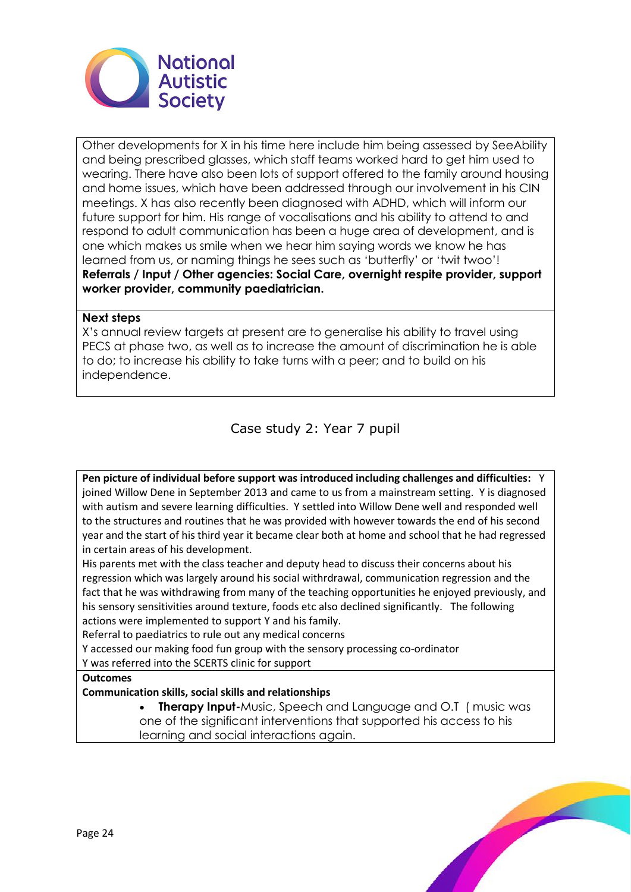

Other developments for X in his time here include him being assessed by SeeAbility and being prescribed glasses, which staff teams worked hard to get him used to wearing. There have also been lots of support offered to the family around housing and home issues, which have been addressed through our involvement in his CIN meetings. X has also recently been diagnosed with ADHD, which will inform our future support for him. His range of vocalisations and his ability to attend to and respond to adult communication has been a huge area of development, and is one which makes us smile when we hear him saying words we know he has learned from us, or naming things he sees such as 'butterfly' or 'twit twoo'! **Referrals / Input / Other agencies: Social Care, overnight respite provider, support worker provider, community paediatrician.**

## **Next steps**

X's annual review targets at present are to generalise his ability to travel using PECS at phase two, as well as to increase the amount of discrimination he is able to do; to increase his ability to take turns with a peer; and to build on his independence.

Case study 2: Year 7 pupil

**Pen picture of individual before support was introduced including challenges and difficulties:** Y joined Willow Dene in September 2013 and came to us from a mainstream setting. Y is diagnosed with autism and severe learning difficulties. Y settled into Willow Dene well and responded well to the structures and routines that he was provided with however towards the end of his second year and the start of his third year it became clear both at home and school that he had regressed in certain areas of his development.

His parents met with the class teacher and deputy head to discuss their concerns about his regression which was largely around his social withrdrawal, communication regression and the fact that he was withdrawing from many of the teaching opportunities he enjoyed previously, and his sensory sensitivities around texture, foods etc also declined significantly. The following actions were implemented to support Y and his family.

Referral to paediatrics to rule out any medical concerns

Y accessed our making food fun group with the sensory processing co-ordinator

Y was referred into the SCERTS clinic for support

**Outcomes**

**Communication skills, social skills and relationships** 

**Therapy Input-**Music, Speech and Language and O.T (music was one of the significant interventions that supported his access to his learning and social interactions again.

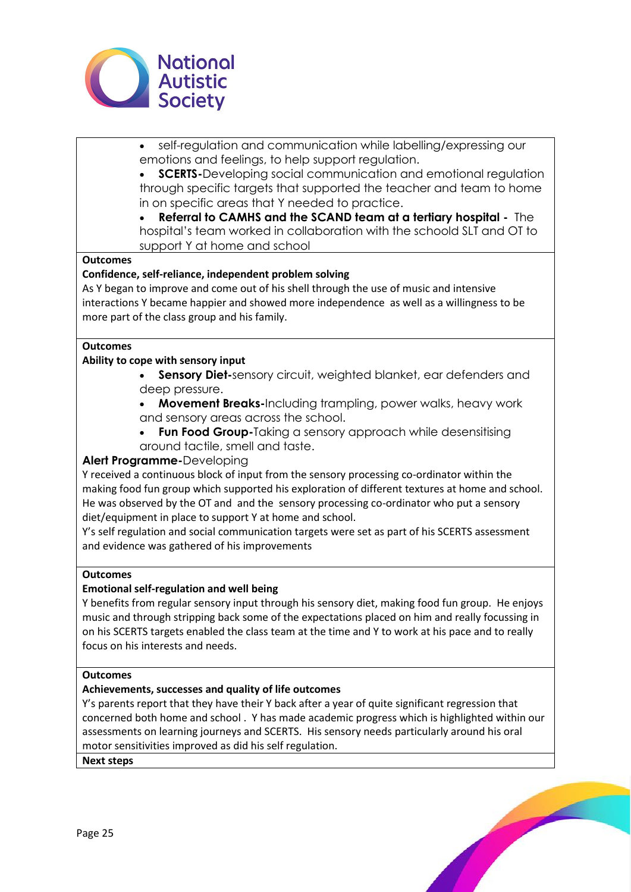

- self-regulation and communication while labelling/expressing our emotions and feelings, to help support regulation.
- **SCERTS-**Developing social communication and emotional regulation through specific targets that supported the teacher and team to home in on specific areas that Y needed to practice.
- **Referral to CAMHS and the SCAND team at a tertiary hospital -** The hospital's team worked in collaboration with the schoold SLT and OT to support Y at home and school

## **Outcomes**

#### **Confidence, self-reliance, independent problem solving**

As Y began to improve and come out of his shell through the use of music and intensive interactions Y became happier and showed more independence as well as a willingness to be more part of the class group and his family.

#### **Outcomes**

#### **Ability to cope with sensory input**

- **Sensory Diet-**sensory circuit, weighted blanket, ear defenders and deep pressure.
- **Movement Breaks-**Including trampling, power walks, heavy work and sensory areas across the school.
- **Fun Food Group-**Taking a sensory approach while desensitising around tactile, smell and taste.

## **Alert Programme-**Developing

Y received a continuous block of input from the sensory processing co-ordinator within the making food fun group which supported his exploration of different textures at home and school. He was observed by the OT and and the sensory processing co-ordinator who put a sensory diet/equipment in place to support Y at home and school.

Y's self regulation and social communication targets were set as part of his SCERTS assessment and evidence was gathered of his improvements

#### **Outcomes**

#### **Emotional self-regulation and well being**

Y benefits from regular sensory input through his sensory diet, making food fun group. He enjoys music and through stripping back some of the expectations placed on him and really focussing in on his SCERTS targets enabled the class team at the time and Y to work at his pace and to really focus on his interests and needs.

#### **Outcomes**

#### **Achievements, successes and quality of life outcomes**

Y's parents report that they have their Y back after a year of quite significant regression that concerned both home and school . Y has made academic progress which is highlighted within our assessments on learning journeys and SCERTS. His sensory needs particularly around his oral motor sensitivities improved as did his self regulation.

**Next steps**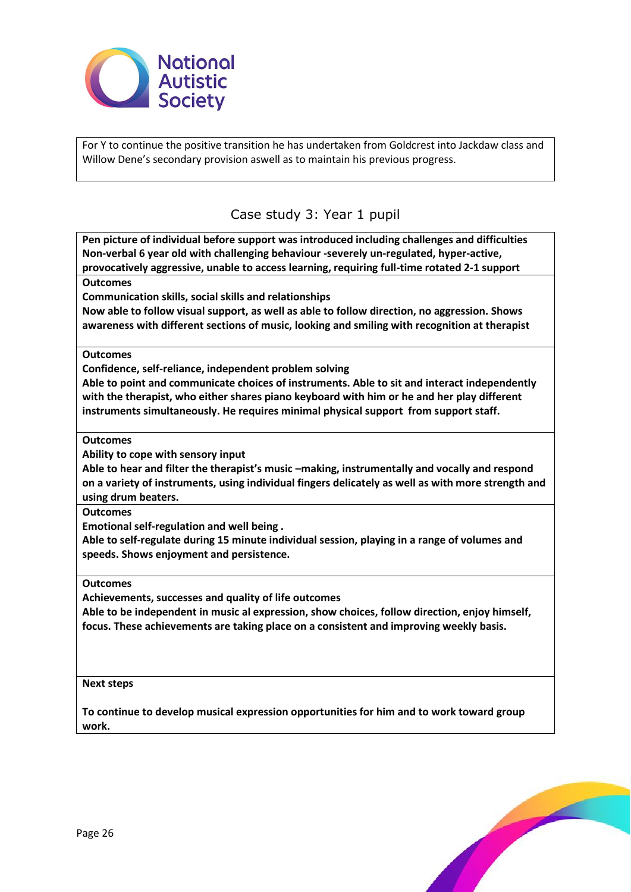

For Y to continue the positive transition he has undertaken from Goldcrest into Jackdaw class and Willow Dene's secondary provision aswell as to maintain his previous progress.

# Case study 3: Year 1 pupil

**Pen picture of individual before support was introduced including challenges and difficulties Non-verbal 6 year old with challenging behaviour -severely un-regulated, hyper-active, provocatively aggressive, unable to access learning, requiring full-time rotated 2-1 support Outcomes Communication skills, social skills and relationships Now able to follow visual support, as well as able to follow direction, no aggression. Shows awareness with different sections of music, looking and smiling with recognition at therapist Outcomes Confidence, self-reliance, independent problem solving Able to point and communicate choices of instruments. Able to sit and interact independently with the therapist, who either shares piano keyboard with him or he and her play different instruments simultaneously. He requires minimal physical support from support staff. Outcomes Ability to cope with sensory input Able to hear and filter the therapist's music –making, instrumentally and vocally and respond on a variety of instruments, using individual fingers delicately as well as with more strength and using drum beaters. Outcomes** 

**Emotional self-regulation and well being .** 

**Able to self-regulate during 15 minute individual session, playing in a range of volumes and speeds. Shows enjoyment and persistence.**

**Outcomes** 

**Achievements, successes and quality of life outcomes** 

**Able to be independent in music al expression, show choices, follow direction, enjoy himself, focus. These achievements are taking place on a consistent and improving weekly basis.**

#### **Next steps**

**To continue to develop musical expression opportunities for him and to work toward group work.**

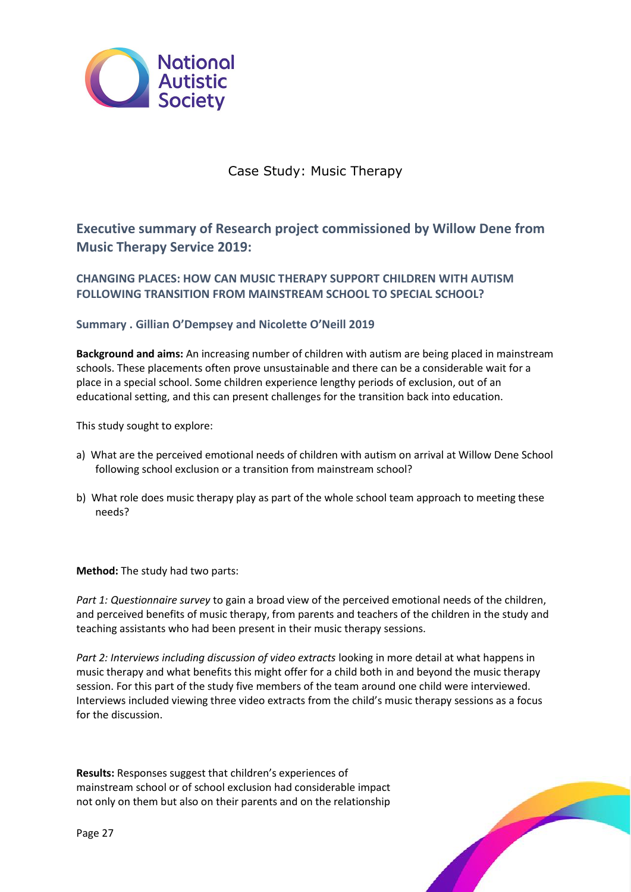

# Case Study: Music Therapy

**Executive summary of Research project commissioned by Willow Dene from Music Therapy Service 2019:** 

**CHANGING PLACES: HOW CAN MUSIC THERAPY SUPPORT CHILDREN WITH AUTISM FOLLOWING TRANSITION FROM MAINSTREAM SCHOOL TO SPECIAL SCHOOL?**

# **Summary . Gillian O'Dempsey and Nicolette O'Neill 2019**

**Background and aims:** An increasing number of children with autism are being placed in mainstream schools. These placements often prove unsustainable and there can be a considerable wait for a place in a special school. Some children experience lengthy periods of exclusion, out of an educational setting, and this can present challenges for the transition back into education.

This study sought to explore:

- a) What are the perceived emotional needs of children with autism on arrival at Willow Dene School following school exclusion or a transition from mainstream school?
- b) What role does music therapy play as part of the whole school team approach to meeting these needs?

**Method:** The study had two parts:

*Part 1: Questionnaire survey* to gain a broad view of the perceived emotional needs of the children, and perceived benefits of music therapy, from parents and teachers of the children in the study and teaching assistants who had been present in their music therapy sessions.

*Part 2: Interviews including discussion of video extracts* looking in more detail at what happens in music therapy and what benefits this might offer for a child both in and beyond the music therapy session. For this part of the study five members of the team around one child were interviewed. Interviews included viewing three video extracts from the child's music therapy sessions as a focus for the discussion.

**Results:** Responses suggest that children's experiences of mainstream school or of school exclusion had considerable impact not only on them but also on their parents and on the relationship

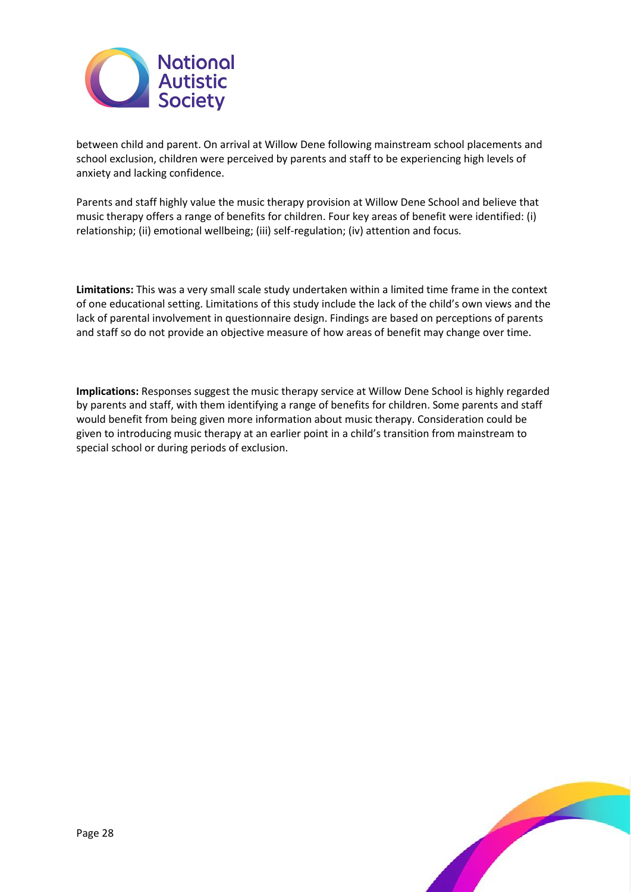

between child and parent. On arrival at Willow Dene following mainstream school placements and school exclusion, children were perceived by parents and staff to be experiencing high levels of anxiety and lacking confidence.

Parents and staff highly value the music therapy provision at Willow Dene School and believe that music therapy offers a range of benefits for children. Four key areas of benefit were identified: (i) relationship; (ii) emotional wellbeing; (iii) self-regulation; (iv) attention and focus.

**Limitations:** This was a very small scale study undertaken within a limited time frame in the context of one educational setting. Limitations of this study include the lack of the child's own views and the lack of parental involvement in questionnaire design. Findings are based on perceptions of parents and staff so do not provide an objective measure of how areas of benefit may change over time.

**Implications:** Responses suggest the music therapy service at Willow Dene School is highly regarded by parents and staff, with them identifying a range of benefits for children. Some parents and staff would benefit from being given more information about music therapy. Consideration could be given to introducing music therapy at an earlier point in a child's transition from mainstream to special school or during periods of exclusion.

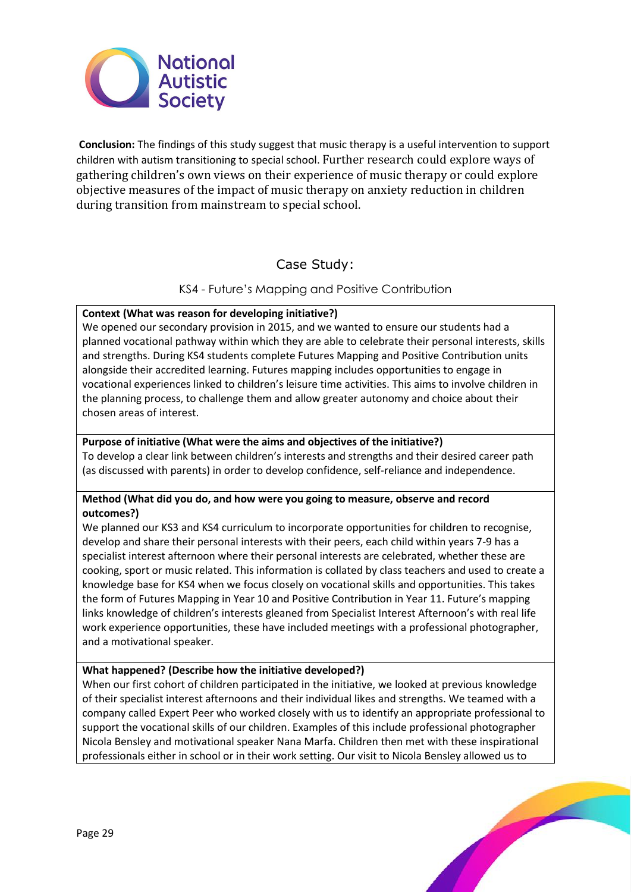

**Conclusion:** The findings of this study suggest that music therapy is a useful intervention to support children with autism transitioning to special school. Further research could explore ways of gathering children's own views on their experience of music therapy or could explore objective measures of the impact of music therapy on anxiety reduction in children during transition from mainstream to special school.

# Case Study:

KS4 - Future's Mapping and Positive Contribution

# **Context (What was reason for developing initiative?)**

We opened our secondary provision in 2015, and we wanted to ensure our students had a planned vocational pathway within which they are able to celebrate their personal interests, skills and strengths. During KS4 students complete Futures Mapping and Positive Contribution units alongside their accredited learning. Futures mapping includes opportunities to engage in vocational experiences linked to children's leisure time activities. This aims to involve children in the planning process, to challenge them and allow greater autonomy and choice about their chosen areas of interest.

## **Purpose of initiative (What were the aims and objectives of the initiative?)**

To develop a clear link between children's interests and strengths and their desired career path (as discussed with parents) in order to develop confidence, self-reliance and independence.

# **Method (What did you do, and how were you going to measure, observe and record outcomes?)**

We planned our KS3 and KS4 curriculum to incorporate opportunities for children to recognise, develop and share their personal interests with their peers, each child within years 7-9 has a specialist interest afternoon where their personal interests are celebrated, whether these are cooking, sport or music related. This information is collated by class teachers and used to create a knowledge base for KS4 when we focus closely on vocational skills and opportunities. This takes the form of Futures Mapping in Year 10 and Positive Contribution in Year 11. Future's mapping links knowledge of children's interests gleaned from Specialist Interest Afternoon's with real life work experience opportunities, these have included meetings with a professional photographer, and a motivational speaker.

# **What happened? (Describe how the initiative developed?)**

When our first cohort of children participated in the initiative, we looked at previous knowledge of their specialist interest afternoons and their individual likes and strengths. We teamed with a company called Expert Peer who worked closely with us to identify an appropriate professional to support the vocational skills of our children. Examples of this include professional photographer Nicola Bensley and motivational speaker Nana Marfa. Children then met with these inspirational professionals either in school or in their work setting. Our visit to Nicola Bensley allowed us to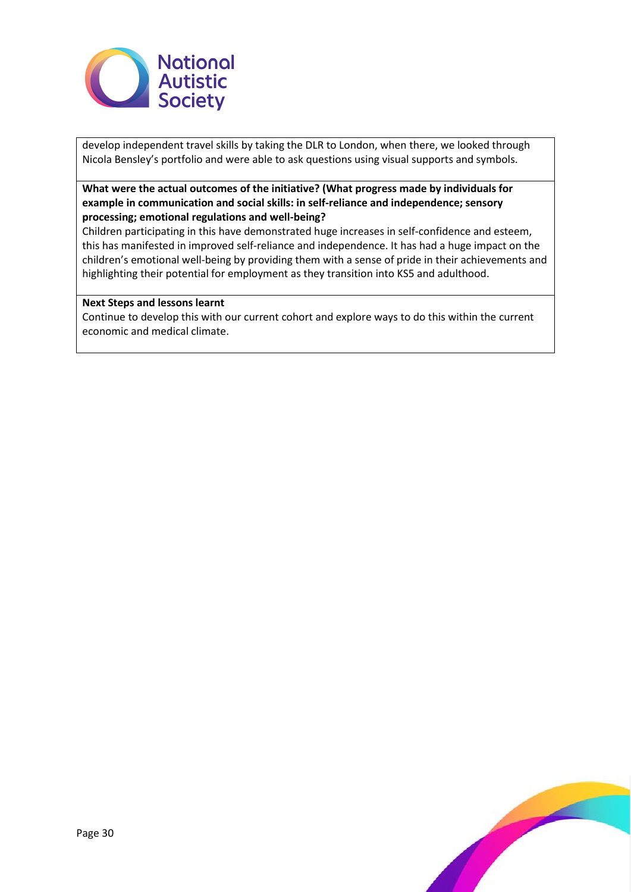

develop independent travel skills by taking the DLR to London, when there, we looked through Nicola Bensley's portfolio and were able to ask questions using visual supports and symbols.

## **What were the actual outcomes of the initiative? (What progress made by individuals for example in communication and social skills: in self-reliance and independence; sensory processing; emotional regulations and well-being?**

Children participating in this have demonstrated huge increases in self-confidence and esteem, this has manifested in improved self-reliance and independence. It has had a huge impact on the children's emotional well-being by providing them with a sense of pride in their achievements and highlighting their potential for employment as they transition into KS5 and adulthood.

#### **Next Steps and lessons learnt**

Continue to develop this with our current cohort and explore ways to do this within the current economic and medical climate.

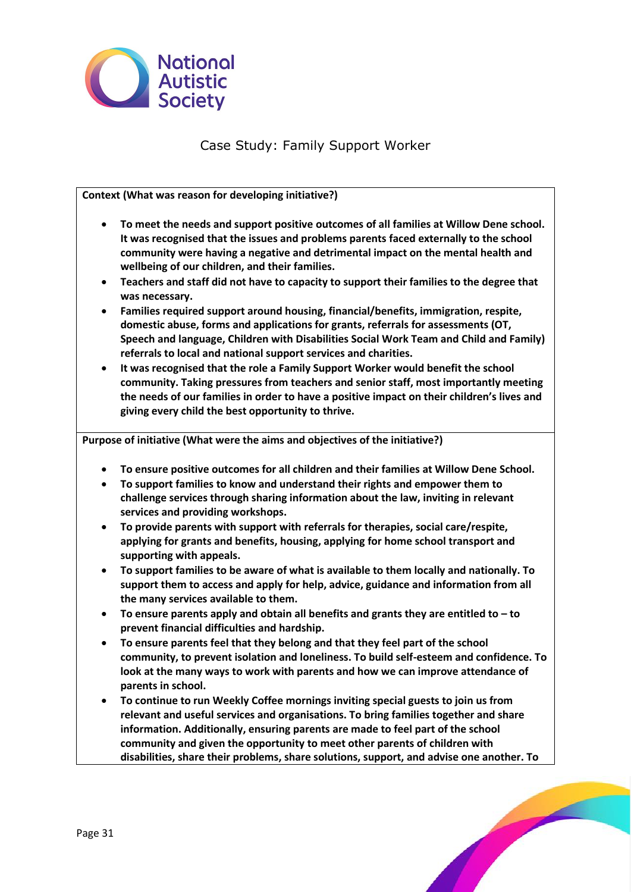

# Case Study: Family Support Worker

**Context (What was reason for developing initiative?)** 

- **To meet the needs and support positive outcomes of all families at Willow Dene school. It was recognised that the issues and problems parents faced externally to the school community were having a negative and detrimental impact on the mental health and wellbeing of our children, and their families.**
- **Teachers and staff did not have to capacity to support their families to the degree that was necessary.**
- **Families required support around housing, financial/benefits, immigration, respite, domestic abuse, forms and applications for grants, referrals for assessments (OT, Speech and language, Children with Disabilities Social Work Team and Child and Family) referrals to local and national support services and charities.**
- **It was recognised that the role a Family Support Worker would benefit the school community. Taking pressures from teachers and senior staff, most importantly meeting the needs of our families in order to have a positive impact on their children's lives and giving every child the best opportunity to thrive.**

**Purpose of initiative (What were the aims and objectives of the initiative?)**

- **To ensure positive outcomes for all children and their families at Willow Dene School.**
- **To support families to know and understand their rights and empower them to challenge services through sharing information about the law, inviting in relevant services and providing workshops.**
- **To provide parents with support with referrals for therapies, social care/respite, applying for grants and benefits, housing, applying for home school transport and supporting with appeals.**
- **To support families to be aware of what is available to them locally and nationally. To support them to access and apply for help, advice, guidance and information from all the many services available to them.**
- **To ensure parents apply and obtain all benefits and grants they are entitled to – to prevent financial difficulties and hardship.**
- **To ensure parents feel that they belong and that they feel part of the school community, to prevent isolation and loneliness. To build self-esteem and confidence. To look at the many ways to work with parents and how we can improve attendance of parents in school.**
- **To continue to run Weekly Coffee mornings inviting special guests to join us from relevant and useful services and organisations. To bring families together and share information. Additionally, ensuring parents are made to feel part of the school community and given the opportunity to meet other parents of children with disabilities, share their problems, share solutions, support, and advise one another. To**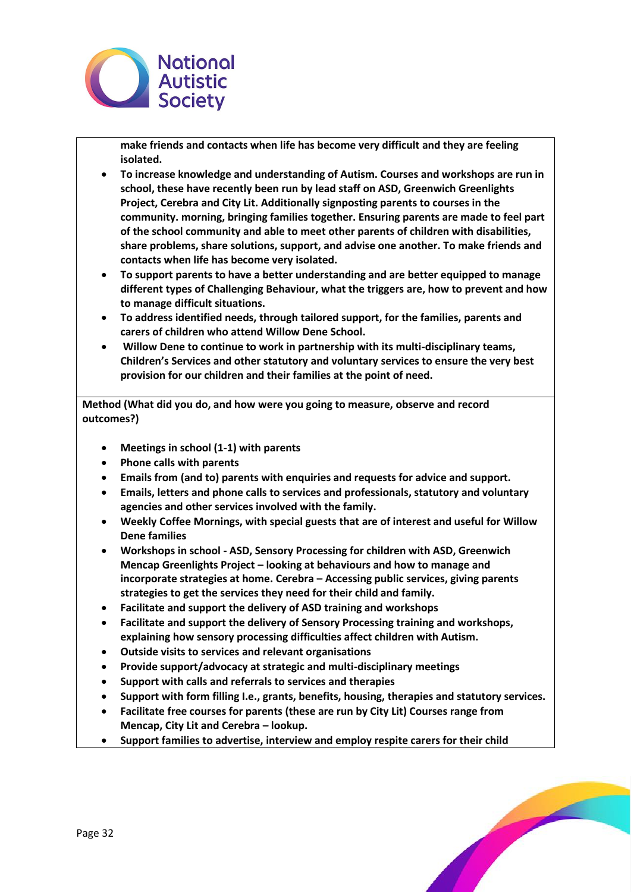

**make friends and contacts when life has become very difficult and they are feeling isolated.**

- **To increase knowledge and understanding of Autism. Courses and workshops are run in school, these have recently been run by lead staff on ASD, Greenwich Greenlights Project, Cerebra and City Lit. Additionally signposting parents to courses in the community. morning, bringing families together. Ensuring parents are made to feel part of the school community and able to meet other parents of children with disabilities, share problems, share solutions, support, and advise one another. To make friends and contacts when life has become very isolated.**
- **To support parents to have a better understanding and are better equipped to manage different types of Challenging Behaviour, what the triggers are, how to prevent and how to manage difficult situations.**
- **To address identified needs, through tailored support, for the families, parents and carers of children who attend Willow Dene School.**
- **Willow Dene to continue to work in partnership with its multi-disciplinary teams, Children's Services and other statutory and voluntary services to ensure the very best provision for our children and their families at the point of need.**

**Method (What did you do, and how were you going to measure, observe and record outcomes?)**

- **Meetings in school (1-1) with parents**
- **Phone calls with parents**
- **Emails from (and to) parents with enquiries and requests for advice and support.**
- **Emails, letters and phone calls to services and professionals, statutory and voluntary agencies and other services involved with the family.**
- **Weekly Coffee Mornings, with special guests that are of interest and useful for Willow Dene families**
- **Workshops in school - ASD, Sensory Processing for children with ASD, Greenwich Mencap Greenlights Project – looking at behaviours and how to manage and incorporate strategies at home. Cerebra – Accessing public services, giving parents strategies to get the services they need for their child and family.**
- **Facilitate and support the delivery of ASD training and workshops**
- **Facilitate and support the delivery of Sensory Processing training and workshops, explaining how sensory processing difficulties affect children with Autism.**
- **Outside visits to services and relevant organisations**
- **Provide support/advocacy at strategic and multi-disciplinary meetings**
- **Support with calls and referrals to services and therapies**
- **Support with form filling I.e., grants, benefits, housing, therapies and statutory services.**
- **Facilitate free courses for parents (these are run by City Lit) Courses range from Mencap, City Lit and Cerebra – lookup.**
- **Support families to advertise, interview and employ respite carers for their child**

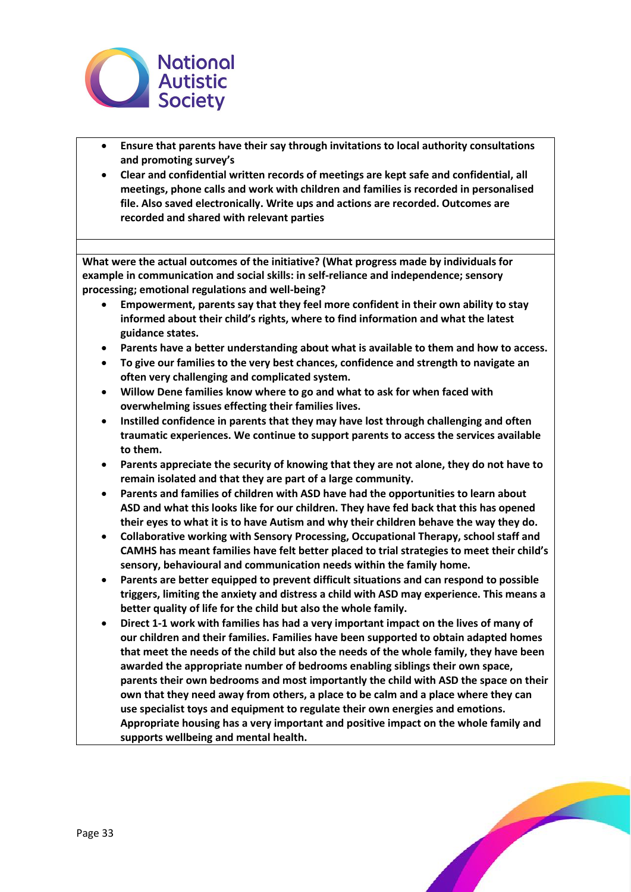

- **Ensure that parents have their say through invitations to local authority consultations and promoting survey's**
- **Clear and confidential written records of meetings are kept safe and confidential, all meetings, phone calls and work with children and families is recorded in personalised file. Also saved electronically. Write ups and actions are recorded. Outcomes are recorded and shared with relevant parties**

**What were the actual outcomes of the initiative? (What progress made by individuals for example in communication and social skills: in self-reliance and independence; sensory processing; emotional regulations and well-being?**

- **Empowerment, parents say that they feel more confident in their own ability to stay informed about their child's rights, where to find information and what the latest guidance states.**
- **Parents have a better understanding about what is available to them and how to access.**
- **To give our families to the very best chances, confidence and strength to navigate an often very challenging and complicated system.**
- **Willow Dene families know where to go and what to ask for when faced with overwhelming issues effecting their families lives.**
- **Instilled confidence in parents that they may have lost through challenging and often traumatic experiences. We continue to support parents to access the services available to them.**
- **Parents appreciate the security of knowing that they are not alone, they do not have to remain isolated and that they are part of a large community.**
- **Parents and families of children with ASD have had the opportunities to learn about ASD and what this looks like for our children. They have fed back that this has opened their eyes to what it is to have Autism and why their children behave the way they do.**
- **Collaborative working with Sensory Processing, Occupational Therapy, school staff and CAMHS has meant families have felt better placed to trial strategies to meet their child's sensory, behavioural and communication needs within the family home.**
- **Parents are better equipped to prevent difficult situations and can respond to possible triggers, limiting the anxiety and distress a child with ASD may experience. This means a better quality of life for the child but also the whole family.**
- **Direct 1-1 work with families has had a very important impact on the lives of many of our children and their families. Families have been supported to obtain adapted homes that meet the needs of the child but also the needs of the whole family, they have been awarded the appropriate number of bedrooms enabling siblings their own space, parents their own bedrooms and most importantly the child with ASD the space on their own that they need away from others, a place to be calm and a place where they can use specialist toys and equipment to regulate their own energies and emotions. Appropriate housing has a very important and positive impact on the whole family and supports wellbeing and mental health.**

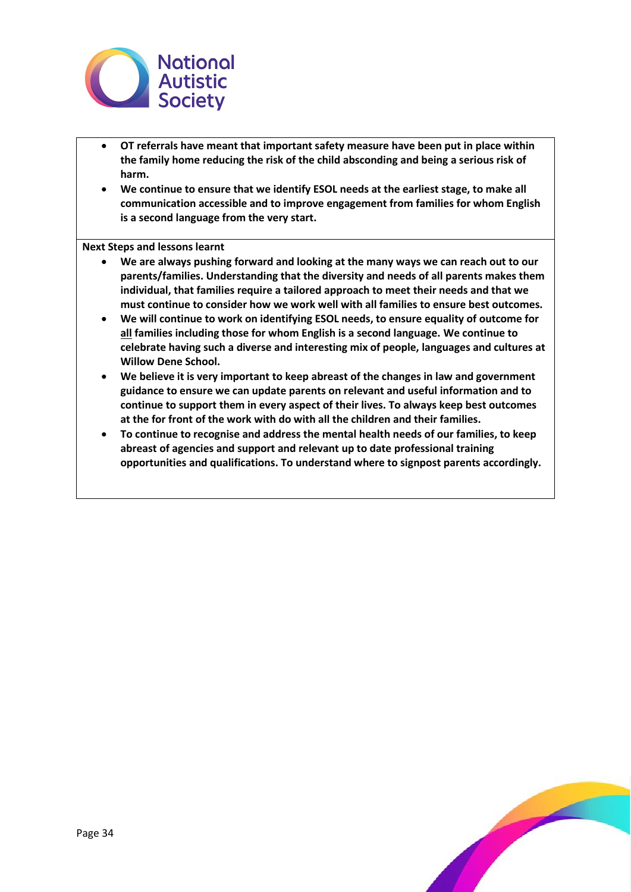

- **OT referrals have meant that important safety measure have been put in place within the family home reducing the risk of the child absconding and being a serious risk of harm.**
- **We continue to ensure that we identify ESOL needs at the earliest stage, to make all communication accessible and to improve engagement from families for whom English is a second language from the very start.**

**Next Steps and lessons learnt** 

- **We are always pushing forward and looking at the many ways we can reach out to our parents/families. Understanding that the diversity and needs of all parents makes them individual, that families require a tailored approach to meet their needs and that we must continue to consider how we work well with all families to ensure best outcomes.**
- **We will continue to work on identifying ESOL needs, to ensure equality of outcome for all families including those for whom English is a second language. We continue to celebrate having such a diverse and interesting mix of people, languages and cultures at Willow Dene School.**
- **We believe it is very important to keep abreast of the changes in law and government guidance to ensure we can update parents on relevant and useful information and to continue to support them in every aspect of their lives. To always keep best outcomes at the for front of the work with do with all the children and their families.**
- **To continue to recognise and address the mental health needs of our families, to keep abreast of agencies and support and relevant up to date professional training opportunities and qualifications. To understand where to signpost parents accordingly.**

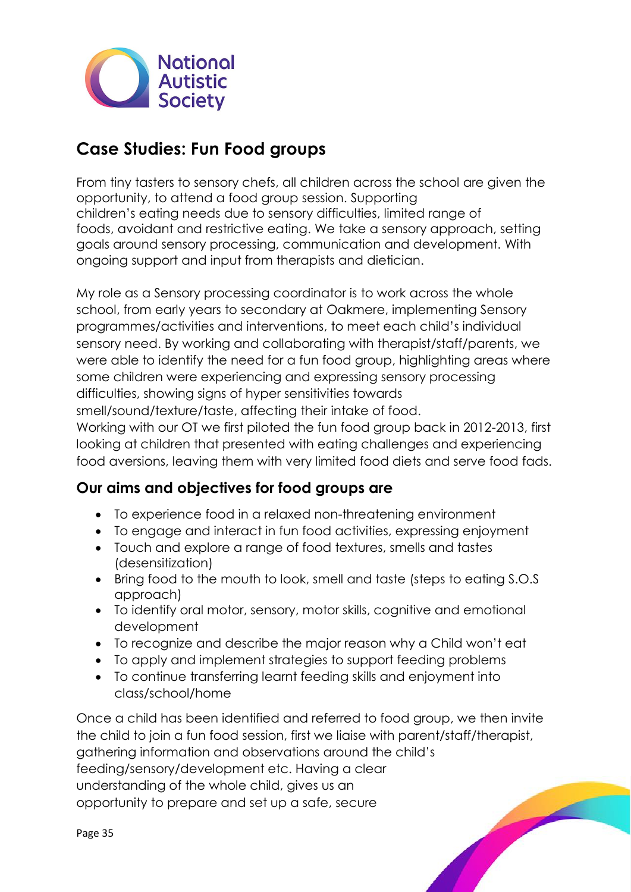

# **Case Studies: Fun Food groups**

From tiny tasters to sensory chefs, all children across the school are given the opportunity, to attend a food group session. Supporting children's eating needs due to sensory difficulties, limited range of foods, avoidant and restrictive eating. We take a sensory approach, setting goals around sensory processing, communication and development. With ongoing support and input from therapists and dietician.

My role as a Sensory processing coordinator is to work across the whole school, from early years to secondary at Oakmere, implementing Sensory programmes/activities and interventions, to meet each child's individual sensory need. By working and collaborating with therapist/staff/parents, we were able to identify the need for a fun food group, highlighting areas where some children were experiencing and expressing sensory processing difficulties, showing signs of hyper sensitivities towards

smell/sound/texture/taste, affecting their intake of food.

Working with our OT we first piloted the fun food group back in 2012-2013, first looking at children that presented with eating challenges and experiencing food aversions, leaving them with very limited food diets and serve food fads.

# **Our aims and objectives for food groups are**

- To experience food in a relaxed non-threatening environment
- To engage and interact in fun food activities, expressing enjoyment
- Touch and explore a range of food textures, smells and tastes (desensitization)
- Bring food to the mouth to look, smell and taste (steps to eating S.O.S approach)
- To identify oral motor, sensory, motor skills, cognitive and emotional development
- To recognize and describe the major reason why a Child won't eat
- To apply and implement strategies to support feeding problems
- To continue transferring learnt feeding skills and enjoyment into class/school/home

Once a child has been identified and referred to food group, we then invite the child to join a fun food session, first we liaise with parent/staff/therapist, gathering information and observations around the child's feeding/sensory/development etc. Having a clear understanding of the whole child, gives us an opportunity to prepare and set up a safe, secure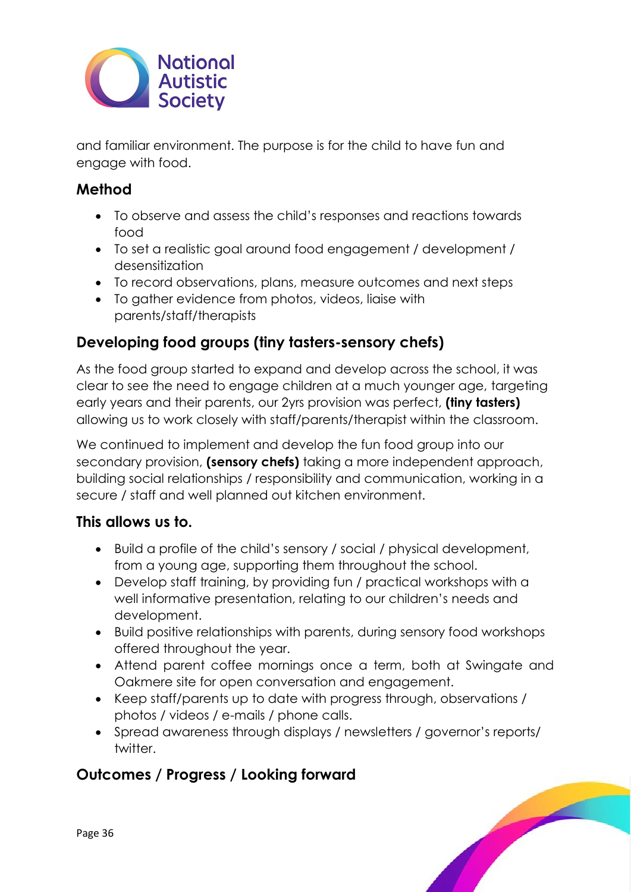

and familiar environment. The purpose is for the child to have fun and engage with food.

# **Method**

- To observe and assess the child's responses and reactions towards food
- To set a realistic goal around food engagement / development / desensitization
- To record observations, plans, measure outcomes and next steps
- To gather evidence from photos, videos, liaise with parents/staff/therapists

# **Developing food groups (tiny tasters-sensory chefs)**

As the food group started to expand and develop across the school, it was clear to see the need to engage children at a much younger age, targeting early years and their parents, our 2yrs provision was perfect, **(tiny tasters)** allowing us to work closely with staff/parents/therapist within the classroom.

We continued to implement and develop the fun food group into our secondary provision, **(sensory chefs)** taking a more independent approach, building social relationships / responsibility and communication, working in a secure / staff and well planned out kitchen environment.

# **This allows us to.**

- Build a profile of the child's sensory / social / physical development, from a young age, supporting them throughout the school.
- Develop staff training, by providing fun / practical workshops with a well informative presentation, relating to our children's needs and development.
- Build positive relationships with parents, during sensory food workshops offered throughout the year.
- Attend parent coffee mornings once a term, both at Swingate and Oakmere site for open conversation and engagement.
- Keep staff/parents up to date with progress through, observations / photos / videos / e-mails / phone calls.
- Spread awareness through displays / newsletters / governor's reports/ twitter.

# **Outcomes / Progress / Looking forward**